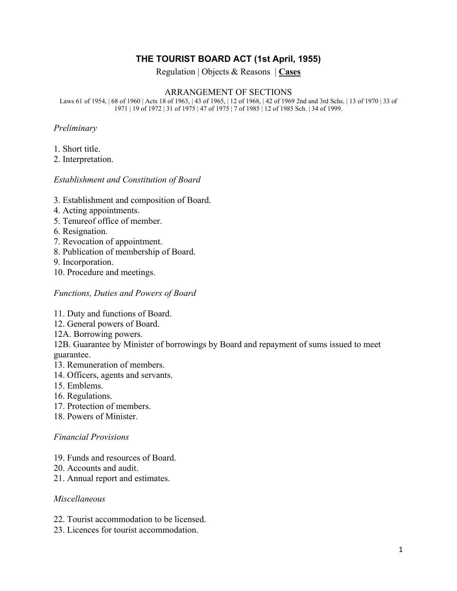# **THE TOURIST BOARD ACT (1st April, 1955)**

Regulation | Objects & Reasons | **Cases**

### ARRANGEMENT OF SECTIONS

Laws 61 of 1954, | 68 of 1960 | Acts 18 of 1963, | 43 of 1965, | 12 of 1968, | 42 of 1969 2nd and 3rd Schs. | 13 of 1970 | 33 of 1971 | 19 of 1972 | 31 of 1975 | 47 of 1975 | 7 of 1985 | 12 of 1985 Sch. | 34 of 1999.

### *Preliminary*

- 1. Short title.
- 2. Interpretation.

### *Establishment and Constitution of Board*

- 3. Establishment and composition of Board.
- 4. Acting appointments.
- 5. Tenureof office of member.
- 6. Resignation.
- 7. Revocation of appointment.
- 8. Publication of membership of Board.
- 9. Incorporation.
- 10. Procedure and meetings.

### *Functions, Duties and Powers of Board*

- 11. Duty and functions of Board.
- 12. General powers of Board.
- 12A. Borrowing powers.

12B. Guarantee by Minister of borrowings by Board and repayment of sums issued to meet guarantee.

- 13. Remuneration of members.
- 14. Officers, agents and servants.
- 15. Emblems.
- 16. Regulations.
- 17. Protection of members.
- 18. Powers of Minister.

### *Financial Provisions*

- 19. Funds and resources of Board.
- 20. Accounts and audit.
- 21. Annual report and estimates.

### *Miscellaneous*

- 22. Tourist accommodation to be licensed.
- 23. Licences for tourist accommodation.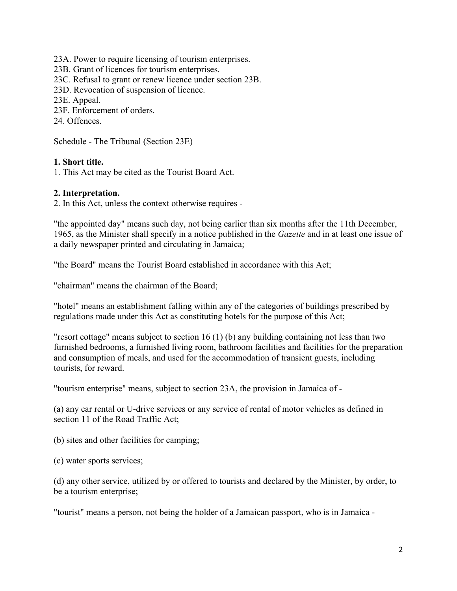- 23A. Power to require licensing of tourism enterprises.
- 23B. Grant of licences for tourism enterprises.
- 23C. Refusal to grant or renew licence under section 23B.
- 23D. Revocation of suspension of licence.
- 23E. Appeal.
- 23F. Enforcement of orders.
- 24. Offences.

Schedule - The Tribunal (Section 23E)

#### **1. Short title.**

1. This Act may be cited as the Tourist Board Act.

#### **2. Interpretation.**

2. In this Act, unless the context otherwise requires -

"the appointed day" means such day, not being earlier than six months after the 11th December, 1965, as the Minister shall specify in a notice published in the *Gazette* and in at least one issue of a daily newspaper printed and circulating in Jamaica;

"the Board" means the Tourist Board established in accordance with this Act;

"chairman" means the chairman of the Board;

"hotel" means an establishment falling within any of the categories of buildings prescribed by regulations made under this Act as constituting hotels for the purpose of this Act;

"resort cottage" means subject to section 16 (1) (b) any building containing not less than two furnished bedrooms, a furnished living room, bathroom facilities and facilities for the preparation and consumption of meals, and used for the accommodation of transient guests, including tourists, for reward.

"tourism enterprise" means, subject to section 23A, the provision in Jamaica of -

(a) any car rental or U-drive services or any service of rental of motor vehicles as defined in section 11 of the Road Traffic Act;

(b) sites and other facilities for camping;

(c) water sports services;

(d) any other service, utilized by or offered to tourists and declared by the Minister, by order, to be a tourism enterprise;

"tourist" means a person, not being the holder of a Jamaican passport, who is in Jamaica -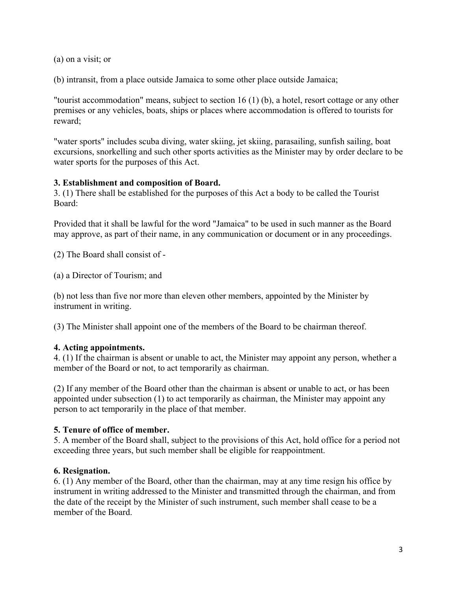(a) on a visit; or

(b) intransit, from a place outside Jamaica to some other place outside Jamaica;

"tourist accommodation" means, subject to section 16 (1) (b), a hotel, resort cottage or any other premises or any vehicles, boats, ships or places where accommodation is offered to tourists for reward;

"water sports" includes scuba diving, water skiing, jet skiing, parasailing, sunfish sailing, boat excursions, snorkelling and such other sports activities as the Minister may by order declare to be water sports for the purposes of this Act.

## **3. Establishment and composition of Board.**

3. (1) There shall be established for the purposes of this Act a body to be called the Tourist Board:

Provided that it shall be lawful for the word "Jamaica" to be used in such manner as the Board may approve, as part of their name, in any communication or document or in any proceedings.

(2) The Board shall consist of -

(a) a Director of Tourism; and

(b) not less than five nor more than eleven other members, appointed by the Minister by instrument in writing.

(3) The Minister shall appoint one of the members of the Board to be chairman thereof.

# **4. Acting appointments.**

4. (1) If the chairman is absent or unable to act, the Minister may appoint any person, whether a member of the Board or not, to act temporarily as chairman.

(2) If any member of the Board other than the chairman is absent or unable to act, or has been appointed under subsection (1) to act temporarily as chairman, the Minister may appoint any person to act temporarily in the place of that member.

## **5. Tenure of office of member.**

5. A member of the Board shall, subject to the provisions of this Act, hold office for a period not exceeding three years, but such member shall be eligible for reappointment.

## **6. Resignation.**

6. (1) Any member of the Board, other than the chairman, may at any time resign his office by instrument in writing addressed to the Minister and transmitted through the chairman, and from the date of the receipt by the Minister of such instrument, such member shall cease to be a member of the Board.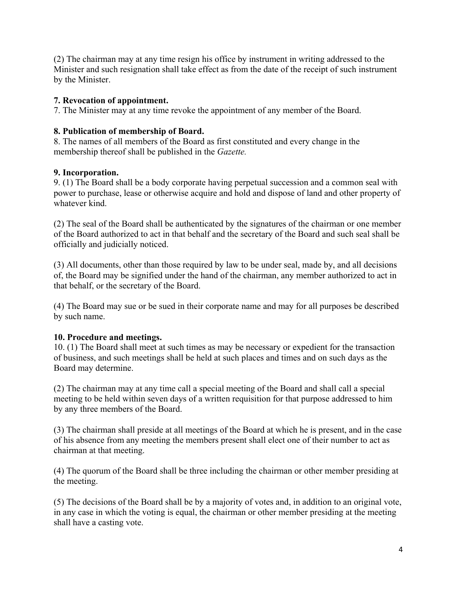(2) The chairman may at any time resign his office by instrument in writing addressed to the Minister and such resignation shall take effect as from the date of the receipt of such instrument by the Minister.

## **7. Revocation of appointment.**

7. The Minister may at any time revoke the appointment of any member of the Board.

## **8. Publication of membership of Board.**

8. The names of all members of the Board as first constituted and every change in the membership thereof shall be published in the *Gazette.*

## **9. Incorporation.**

9. (1) The Board shall be a body corporate having perpetual succession and a common seal with power to purchase, lease or otherwise acquire and hold and dispose of land and other property of whatever kind.

(2) The seal of the Board shall be authenticated by the signatures of the chairman or one member of the Board authorized to act in that behalf and the secretary of the Board and such seal shall be officially and judicially noticed.

(3) All documents, other than those required by law to be under seal, made by, and all decisions of, the Board may be signified under the hand of the chairman, any member authorized to act in that behalf, or the secretary of the Board.

(4) The Board may sue or be sued in their corporate name and may for all purposes be described by such name.

# **10. Procedure and meetings.**

10. (1) The Board shall meet at such times as may be necessary or expedient for the transaction of business, and such meetings shall be held at such places and times and on such days as the Board may determine.

(2) The chairman may at any time call a special meeting of the Board and shall call a special meeting to be held within seven days of a written requisition for that purpose addressed to him by any three members of the Board.

(3) The chairman shall preside at all meetings of the Board at which he is present, and in the case of his absence from any meeting the members present shall elect one of their number to act as chairman at that meeting.

(4) The quorum of the Board shall be three including the chairman or other member presiding at the meeting.

(5) The decisions of the Board shall be by a majority of votes and, in addition to an original vote, in any case in which the voting is equal, the chairman or other member presiding at the meeting shall have a casting vote.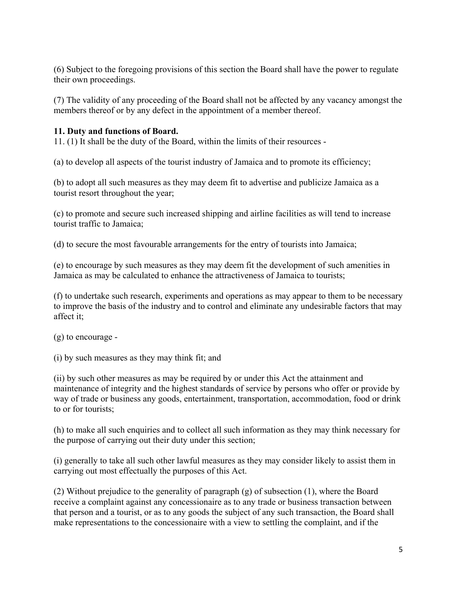(6) Subject to the foregoing provisions of this section the Board shall have the power to regulate their own proceedings.

(7) The validity of any proceeding of the Board shall not be affected by any vacancy amongst the members thereof or by any defect in the appointment of a member thereof.

# **11. Duty and functions of Board.**

11. (1) It shall be the duty of the Board, within the limits of their resources -

(a) to develop all aspects of the tourist industry of Jamaica and to promote its efficiency;

(b) to adopt all such measures as they may deem fit to advertise and publicize Jamaica as a tourist resort throughout the year;

(c) to promote and secure such increased shipping and airline facilities as will tend to increase tourist traffic to Jamaica;

(d) to secure the most favourable arrangements for the entry of tourists into Jamaica;

(e) to encourage by such measures as they may deem fit the development of such amenities in Jamaica as may be calculated to enhance the attractiveness of Jamaica to tourists;

(f) to undertake such research, experiments and operations as may appear to them to be necessary to improve the basis of the industry and to control and eliminate any undesirable factors that may affect it;

(g) to encourage -

(i) by such measures as they may think fit; and

(ii) by such other measures as may be required by or under this Act the attainment and maintenance of integrity and the highest standards of service by persons who offer or provide by way of trade or business any goods, entertainment, transportation, accommodation, food or drink to or for tourists;

(h) to make all such enquiries and to collect all such information as they may think necessary for the purpose of carrying out their duty under this section;

(i) generally to take all such other lawful measures as they may consider likely to assist them in carrying out most effectually the purposes of this Act.

(2) Without prejudice to the generality of paragraph (g) of subsection (1), where the Board receive a complaint against any concessionaire as to any trade or business transaction between that person and a tourist, or as to any goods the subject of any such transaction, the Board shall make representations to the concessionaire with a view to settling the complaint, and if the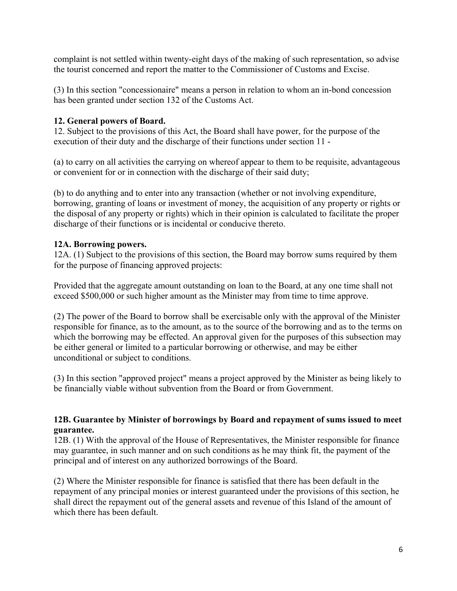complaint is not settled within twenty-eight days of the making of such representation, so advise the tourist concerned and report the matter to the Commissioner of Customs and Excise.

(3) In this section "concessionaire" means a person in relation to whom an in-bond concession has been granted under section 132 of the Customs Act.

## **12. General powers of Board.**

12. Subject to the provisions of this Act, the Board shall have power, for the purpose of the execution of their duty and the discharge of their functions under section 11 -

(a) to carry on all activities the carrying on whereof appear to them to be requisite, advantageous or convenient for or in connection with the discharge of their said duty;

(b) to do anything and to enter into any transaction (whether or not involving expenditure, borrowing, granting of loans or investment of money, the acquisition of any property or rights or the disposal of any property or rights) which in their opinion is calculated to facilitate the proper discharge of their functions or is incidental or conducive thereto.

# **12A. Borrowing powers.**

12A. (1) Subject to the provisions of this section, the Board may borrow sums required by them for the purpose of financing approved projects:

Provided that the aggregate amount outstanding on loan to the Board, at any one time shall not exceed \$500,000 or such higher amount as the Minister may from time to time approve.

(2) The power of the Board to borrow shall be exercisable only with the approval of the Minister responsible for finance, as to the amount, as to the source of the borrowing and as to the terms on which the borrowing may be effected. An approval given for the purposes of this subsection may be either general or limited to a particular borrowing or otherwise, and may be either unconditional or subject to conditions.

(3) In this section "approved project" means a project approved by the Minister as being likely to be financially viable without subvention from the Board or from Government.

## **12B. Guarantee by Minister of borrowings by Board and repayment of sums issued to meet guarantee.**

12B. (1) With the approval of the House of Representatives, the Minister responsible for finance may guarantee, in such manner and on such conditions as he may think fit, the payment of the principal and of interest on any authorized borrowings of the Board.

(2) Where the Minister responsible for finance is satisfied that there has been default in the repayment of any principal monies or interest guaranteed under the provisions of this section, he shall direct the repayment out of the general assets and revenue of this Island of the amount of which there has been default.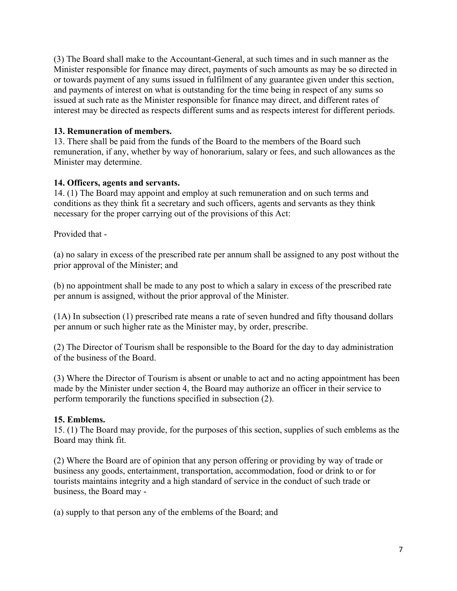(3) The Board shall make to the Accountant-General, at such times and in such manner as the Minister responsible for finance may direct, payments of such amounts as may be so directed in or towards payment of any sums issued in fulfilment of any guarantee given under this section, and payments of interest on what is outstanding for the time being in respect of any sums so issued at such rate as the Minister responsible for finance may direct, and different rates of interest may be directed as respects different sums and as respects interest for different periods.

## **13. Remuneration of members.**

13. There shall be paid from the funds of the Board to the members of the Board such remuneration, if any, whether by way of honorarium, salary or fees, and such allowances as the Minister may determine.

## **14. Officers, agents and servants.**

14. (1) The Board may appoint and employ at such remuneration and on such terms and conditions as they think fit a secretary and such officers, agents and servants as they think necessary for the proper carrying out of the provisions of this Act:

Provided that -

(a) no salary in excess of the prescribed rate per annum shall be assigned to any post without the prior approval of the Minister; and

(b) no appointment shall be made to any post to which a salary in excess of the prescribed rate per annum is assigned, without the prior approval of the Minister.

(1A) In subsection (1) prescribed rate means a rate of seven hundred and fifty thousand dollars per annum or such higher rate as the Minister may, by order, prescribe.

(2) The Director of Tourism shall be responsible to the Board for the day to day administration of the business of the Board.

(3) Where the Director of Tourism is absent or unable to act and no acting appointment has been made by the Minister under section 4, the Board may authorize an officer in their service to perform temporarily the functions specified in subsection (2).

## **15. Emblems.**

15. (1) The Board may provide, for the purposes of this section, supplies of such emblems as the Board may think fit.

(2) Where the Board are of opinion that any person offering or providing by way of trade or business any goods, entertainment, transportation, accommodation, food or drink to or for tourists maintains integrity and a high standard of service in the conduct of such trade or business, the Board may -

(a) supply to that person any of the emblems of the Board; and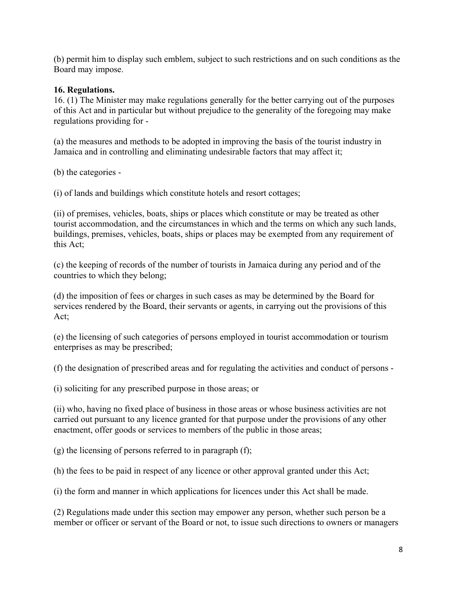(b) permit him to display such emblem, subject to such restrictions and on such conditions as the Board may impose.

### **16. Regulations.**

16. (1) The Minister may make regulations generally for the better carrying out of the purposes of this Act and in particular but without prejudice to the generality of the foregoing may make regulations providing for -

(a) the measures and methods to be adopted in improving the basis of the tourist industry in Jamaica and in controlling and eliminating undesirable factors that may affect it;

(b) the categories -

(i) of lands and buildings which constitute hotels and resort cottages;

(ii) of premises, vehicles, boats, ships or places which constitute or may be treated as other tourist accommodation, and the circumstances in which and the terms on which any such lands, buildings, premises, vehicles, boats, ships or places may be exempted from any requirement of this Act;

(c) the keeping of records of the number of tourists in Jamaica during any period and of the countries to which they belong;

(d) the imposition of fees or charges in such cases as may be determined by the Board for services rendered by the Board, their servants or agents, in carrying out the provisions of this Act;

(e) the licensing of such categories of persons employed in tourist accommodation or tourism enterprises as may be prescribed;

(f) the designation of prescribed areas and for regulating the activities and conduct of persons -

(i) soliciting for any prescribed purpose in those areas; or

(ii) who, having no fixed place of business in those areas or whose business activities are not carried out pursuant to any licence granted for that purpose under the provisions of any other enactment, offer goods or services to members of the public in those areas;

(g) the licensing of persons referred to in paragraph (f);

(h) the fees to be paid in respect of any licence or other approval granted under this Act;

(i) the form and manner in which applications for licences under this Act shall be made.

(2) Regulations made under this section may empower any person, whether such person be a member or officer or servant of the Board or not, to issue such directions to owners or managers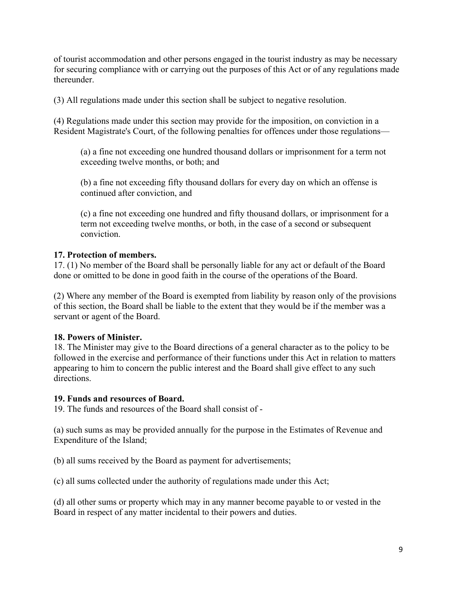of tourist accommodation and other persons engaged in the tourist industry as may be necessary for securing compliance with or carrying out the purposes of this Act or of any regulations made thereunder.

(3) All regulations made under this section shall be subject to negative resolution.

(4) Regulations made under this section may provide for the imposition, on conviction in a Resident Magistrate's Court, of the following penalties for offences under those regulations—

(a) a fine not exceeding one hundred thousand dollars or imprisonment for a term not exceeding twelve months, or both; and

(b) a fine not exceeding fifty thousand dollars for every day on which an offense is continued after conviction, and

(c) a fine not exceeding one hundred and fifty thousand dollars, or imprisonment for a term not exceeding twelve months, or both, in the case of a second or subsequent conviction.

# **17. Protection of members.**

17. (1) No member of the Board shall be personally liable for any act or default of the Board done or omitted to be done in good faith in the course of the operations of the Board.

(2) Where any member of the Board is exempted from liability by reason only of the provisions of this section, the Board shall be liable to the extent that they would be if the member was a servant or agent of the Board.

# **18. Powers of Minister.**

18. The Minister may give to the Board directions of a general character as to the policy to be followed in the exercise and performance of their functions under this Act in relation to matters appearing to him to concern the public interest and the Board shall give effect to any such directions.

# **19. Funds and resources of Board.**

19. The funds and resources of the Board shall consist of -

(a) such sums as may be provided annually for the purpose in the Estimates of Revenue and Expenditure of the Island;

(b) all sums received by the Board as payment for advertisements;

(c) all sums collected under the authority of regulations made under this Act;

(d) all other sums or property which may in any manner become payable to or vested in the Board in respect of any matter incidental to their powers and duties.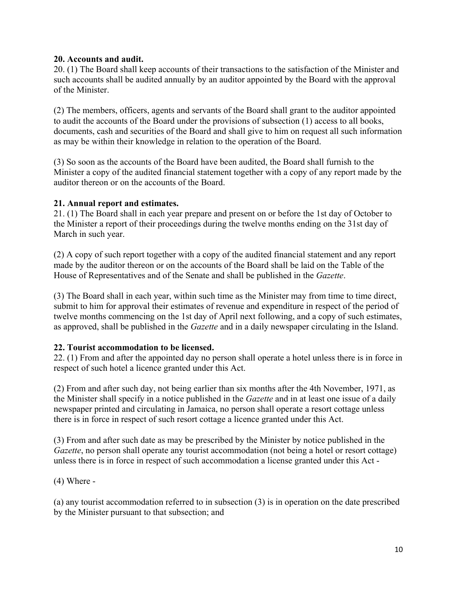### **20. Accounts and audit.**

20. (1) The Board shall keep accounts of their transactions to the satisfaction of the Minister and such accounts shall be audited annually by an auditor appointed by the Board with the approval of the Minister.

(2) The members, officers, agents and servants of the Board shall grant to the auditor appointed to audit the accounts of the Board under the provisions of subsection (1) access to all books, documents, cash and securities of the Board and shall give to him on request all such information as may be within their knowledge in relation to the operation of the Board.

(3) So soon as the accounts of the Board have been audited, the Board shall furnish to the Minister a copy of the audited financial statement together with a copy of any report made by the auditor thereon or on the accounts of the Board.

### **21. Annual report and estimates.**

21. (1) The Board shall in each year prepare and present on or before the 1st day of October to the Minister a report of their proceedings during the twelve months ending on the 31st day of March in such year.

(2) A copy of such report together with a copy of the audited financial statement and any report made by the auditor thereon or on the accounts of the Board shall be laid on the Table of the House of Representatives and of the Senate and shall be published in the *Gazette*.

(3) The Board shall in each year, within such time as the Minister may from time to time direct, submit to him for approval their estimates of revenue and expenditure in respect of the period of twelve months commencing on the 1st day of April next following, and a copy of such estimates, as approved, shall be published in the *Gazette* and in a daily newspaper circulating in the Island.

### **22. Tourist accommodation to be licensed.**

22. (1) From and after the appointed day no person shall operate a hotel unless there is in force in respect of such hotel a licence granted under this Act.

(2) From and after such day, not being earlier than six months after the 4th November, 1971, as the Minister shall specify in a notice published in the *Gazette* and in at least one issue of a daily newspaper printed and circulating in Jamaica, no person shall operate a resort cottage unless there is in force in respect of such resort cottage a licence granted under this Act.

(3) From and after such date as may be prescribed by the Minister by notice published in the *Gazette*, no person shall operate any tourist accommodation (not being a hotel or resort cottage) unless there is in force in respect of such accommodation a license granted under this Act -

(4) Where -

(a) any tourist accommodation referred to in subsection (3) is in operation on the date prescribed by the Minister pursuant to that subsection; and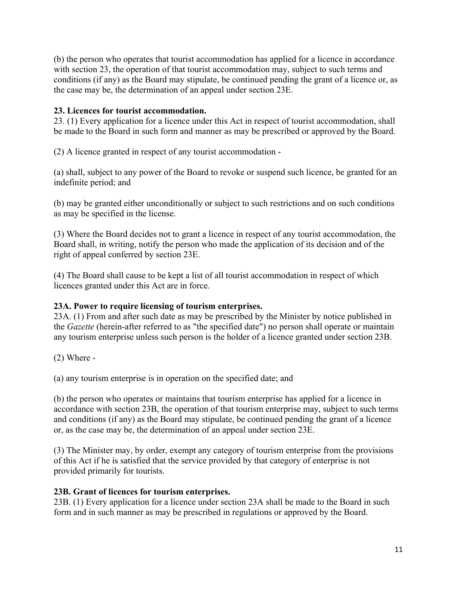(b) the person who operates that tourist accommodation has applied for a licence in accordance with section 23, the operation of that tourist accommodation may, subject to such terms and conditions (if any) as the Board may stipulate, be continued pending the grant of a licence or, as the case may be, the determination of an appeal under section 23E.

## **23. Licences for tourist accommodation.**

23. (1) Every application for a licence under this Act in respect of tourist accommodation, shall be made to the Board in such form and manner as may be prescribed or approved by the Board.

(2) A licence granted in respect of any tourist accommodation -

(a) shall, subject to any power of the Board to revoke or suspend such licence, be granted for an indefinite period; and

(b) may be granted either unconditionally or subject to such restrictions and on such conditions as may be specified in the license.

(3) Where the Board decides not to grant a licence in respect of any tourist accommodation, the Board shall, in writing, notify the person who made the application of its decision and of the right of appeal conferred by section 23E.

(4) The Board shall cause to be kept a list of all tourist accommodation in respect of which licences granted under this Act are in force.

# **23A. Power to require licensing of tourism enterprises.**

23A. (1) From and after such date as may be prescribed by the Minister by notice published in the *Gazette* (herein-after referred to as "the specified date") no person shall operate or maintain any tourism enterprise unless such person is the holder of a licence granted under section 23B.

 $(2)$  Where -

(a) any tourism enterprise is in operation on the specified date; and

(b) the person who operates or maintains that tourism enterprise has applied for a licence in accordance with section 23B, the operation of that tourism enterprise may, subject to such terms and conditions (if any) as the Board may stipulate, be continued pending the grant of a licence or, as the case may be, the determination of an appeal under section 23E.

(3) The Minister may, by order, exempt any category of tourism enterprise from the provisions of this Act if he is satisfied that the service provided by that category of enterprise is not provided primarily for tourists.

## **23B. Grant of licences for tourism enterprises.**

23B. (1) Every application for a licence under section 23A shall be made to the Board in such form and in such manner as may be prescribed in regulations or approved by the Board.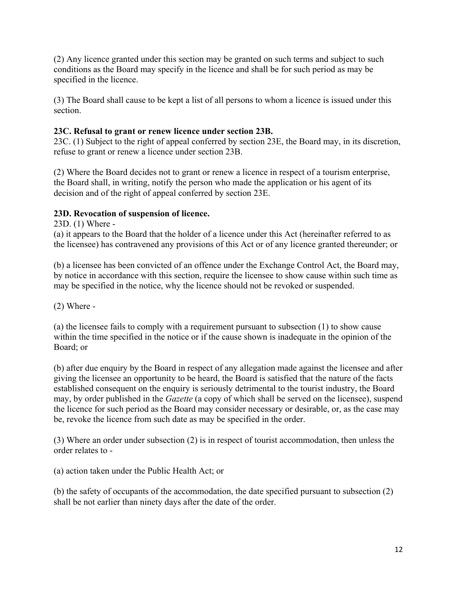(2) Any licence granted under this section may be granted on such terms and subject to such conditions as the Board may specify in the licence and shall be for such period as may be specified in the licence.

(3) The Board shall cause to be kept a list of all persons to whom a licence is issued under this section.

# **23C. Refusal to grant or renew licence under section 23B.**

23C. (1) Subject to the right of appeal conferred by section 23E, the Board may, in its discretion, refuse to grant or renew a licence under section 23B.

(2) Where the Board decides not to grant or renew a licence in respect of a tourism enterprise, the Board shall, in writing, notify the person who made the application or his agent of its decision and of the right of appeal conferred by section 23E.

## **23D. Revocation of suspension of licence.**

23D. (1) Where -

(a) it appears to the Board that the holder of a licence under this Act (hereinafter referred to as the licensee) has contravened any provisions of this Act or of any licence granted thereunder; or

(b) a licensee has been convicted of an offence under the Exchange Control Act, the Board may, by notice in accordance with this section, require the licensee to show cause within such time as may be specified in the notice, why the licence should not be revoked or suspended.

 $(2)$  Where -

(a) the licensee fails to comply with a requirement pursuant to subsection (1) to show cause within the time specified in the notice or if the cause shown is inadequate in the opinion of the Board; or

(b) after due enquiry by the Board in respect of any allegation made against the licensee and after giving the licensee an opportunity to be heard, the Board is satisfied that the nature of the facts established consequent on the enquiry is seriously detrimental to the tourist industry, the Board may, by order published in the *Gazette* (a copy of which shall be served on the licensee), suspend the licence for such period as the Board may consider necessary or desirable, or, as the case may be, revoke the licence from such date as may be specified in the order.

(3) Where an order under subsection (2) is in respect of tourist accommodation, then unless the order relates to -

(a) action taken under the Public Health Act; or

(b) the safety of occupants of the accommodation, the date specified pursuant to subsection (2) shall be not earlier than ninety days after the date of the order.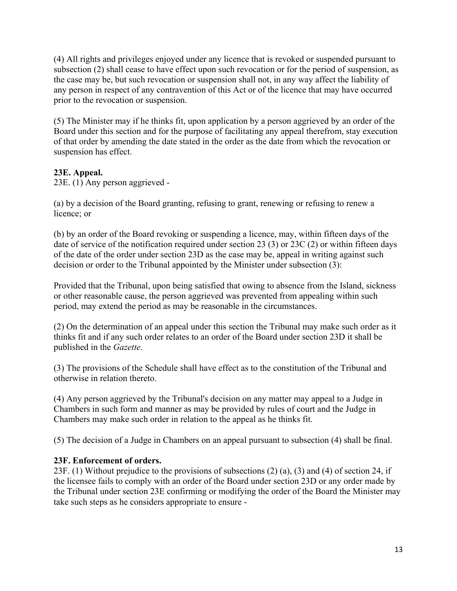(4) All rights and privileges enjoyed under any licence that is revoked or suspended pursuant to subsection (2) shall cease to have effect upon such revocation or for the period of suspension, as the case may be, but such revocation or suspension shall not, in any way affect the liability of any person in respect of any contravention of this Act or of the licence that may have occurred prior to the revocation or suspension.

(5) The Minister may if he thinks fit, upon application by a person aggrieved by an order of the Board under this section and for the purpose of facilitating any appeal therefrom, stay execution of that order by amending the date stated in the order as the date from which the revocation or suspension has effect.

## **23E. Appeal.**

23E. (1) Any person aggrieved -

(a) by a decision of the Board granting, refusing to grant, renewing or refusing to renew a licence; or

(b) by an order of the Board revoking or suspending a licence, may, within fifteen days of the date of service of the notification required under section 23 (3) or 23C (2) or within fifteen days of the date of the order under section 23D as the case may be, appeal in writing against such decision or order to the Tribunal appointed by the Minister under subsection (3):

Provided that the Tribunal, upon being satisfied that owing to absence from the Island, sickness or other reasonable cause, the person aggrieved was prevented from appealing within such period, may extend the period as may be reasonable in the circumstances.

(2) On the determination of an appeal under this section the Tribunal may make such order as it thinks fit and if any such order relates to an order of the Board under section 23D it shall be published in the *Gazette*.

(3) The provisions of the Schedule shall have effect as to the constitution of the Tribunal and otherwise in relation thereto.

(4) Any person aggrieved by the Tribunal's decision on any matter may appeal to a Judge in Chambers in such form and manner as may be provided by rules of court and the Judge in Chambers may make such order in relation to the appeal as he thinks fit.

(5) The decision of a Judge in Chambers on an appeal pursuant to subsection (4) shall be final.

## **23F. Enforcement of orders.**

23F. (1) Without prejudice to the provisions of subsections (2) (a), (3) and (4) of section 24, if the licensee fails to comply with an order of the Board under section 23D or any order made by the Tribunal under section 23E confirming or modifying the order of the Board the Minister may take such steps as he considers appropriate to ensure -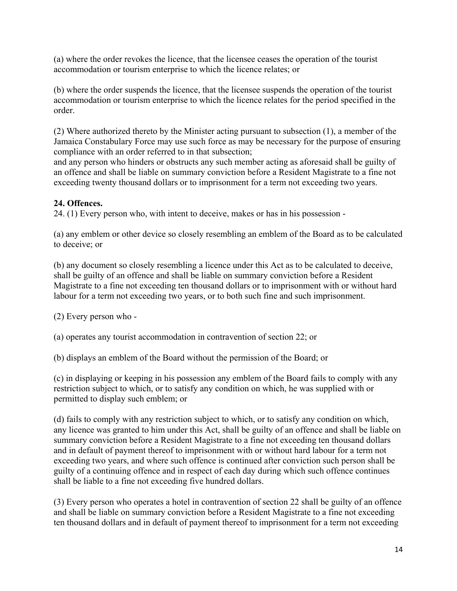(a) where the order revokes the licence, that the licensee ceases the operation of the tourist accommodation or tourism enterprise to which the licence relates; or

(b) where the order suspends the licence, that the licensee suspends the operation of the tourist accommodation or tourism enterprise to which the licence relates for the period specified in the order.

(2) Where authorized thereto by the Minister acting pursuant to subsection (1), a member of the Jamaica Constabulary Force may use such force as may be necessary for the purpose of ensuring compliance with an order referred to in that subsection;

and any person who hinders or obstructs any such member acting as aforesaid shall be guilty of an offence and shall be liable on summary conviction before a Resident Magistrate to a fine not exceeding twenty thousand dollars or to imprisonment for a term not exceeding two years.

## **24. Offences.**

24. (1) Every person who, with intent to deceive, makes or has in his possession -

(a) any emblem or other device so closely resembling an emblem of the Board as to be calculated to deceive; or

(b) any document so closely resembling a licence under this Act as to be calculated to deceive, shall be guilty of an offence and shall be liable on summary conviction before a Resident Magistrate to a fine not exceeding ten thousand dollars or to imprisonment with or without hard labour for a term not exceeding two years, or to both such fine and such imprisonment.

(2) Every person who -

(a) operates any tourist accommodation in contravention of section 22; or

(b) displays an emblem of the Board without the permission of the Board; or

(c) in displaying or keeping in his possession any emblem of the Board fails to comply with any restriction subject to which, or to satisfy any condition on which, he was supplied with or permitted to display such emblem; or

(d) fails to comply with any restriction subject to which, or to satisfy any condition on which, any licence was granted to him under this Act, shall be guilty of an offence and shall be liable on summary conviction before a Resident Magistrate to a fine not exceeding ten thousand dollars and in default of payment thereof to imprisonment with or without hard labour for a term not exceeding two years, and where such offence is continued after conviction such person shall be guilty of a continuing offence and in respect of each day during which such offence continues shall be liable to a fine not exceeding five hundred dollars.

(3) Every person who operates a hotel in contravention of section 22 shall be guilty of an offence and shall be liable on summary conviction before a Resident Magistrate to a fine not exceeding ten thousand dollars and in default of payment thereof to imprisonment for a term not exceeding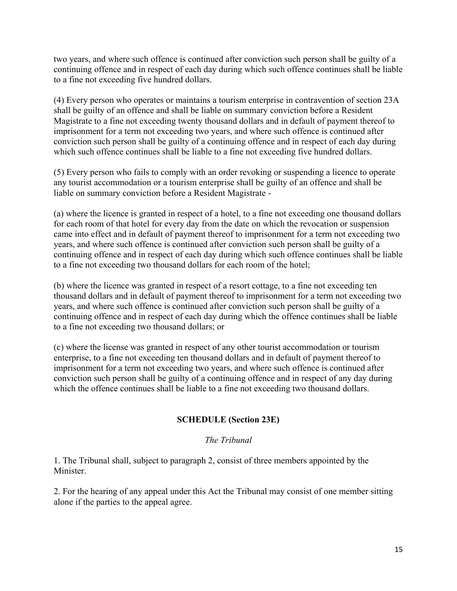two years, and where such offence is continued after conviction such person shall be guilty of a continuing offence and in respect of each day during which such offence continues shall be liable to a fine not exceeding five hundred dollars.

(4) Every person who operates or maintains a tourism enterprise in contravention of section 23A shall be guilty of an offence and shall be liable on summary conviction before a Resident Magistrate to a fine not exceeding twenty thousand dollars and in default of payment thereof to imprisonment for a term not exceeding two years, and where such offence is continued after conviction such person shall be guilty of a continuing offence and in respect of each day during which such offence continues shall be liable to a fine not exceeding five hundred dollars.

(5) Every person who fails to comply with an order revoking or suspending a licence to operate any tourist accommodation or a tourism enterprise shall be guilty of an offence and shall be liable on summary conviction before a Resident Magistrate -

(a) where the licence is granted in respect of a hotel, to a fine not exceeding one thousand dollars for each room of that hotel for every day from the date on which the revocation or suspension came into effect and in default of payment thereof to imprisonment for a term not exceeding two years, and where such offence is continued after conviction such person shall be guilty of a continuing offence and in respect of each day during which such offence continues shall be liable to a fine not exceeding two thousand dollars for each room of the hotel;

(b) where the licence was granted in respect of a resort cottage, to a fine not exceeding ten thousand dollars and in default of payment thereof to imprisonment for a term not exceeding two years, and where such offence is continued after conviction such person shall be guilty of a continuing offence and in respect of each day during which the offence continues shall be liable to a fine not exceeding two thousand dollars; or

(c) where the license was granted in respect of any other tourist accommodation or tourism enterprise, to a fine not exceeding ten thousand dollars and in default of payment thereof to imprisonment for a term not exceeding two years, and where such offence is continued after conviction such person shall be guilty of a continuing offence and in respect of any day during which the offence continues shall be liable to a fine not exceeding two thousand dollars.

## **SCHEDULE (Section 23E)**

### *The Tribunal*

1. The Tribunal shall, subject to paragraph 2, consist of three members appointed by the Minister.

2. For the hearing of any appeal under this Act the Tribunal may consist of one member sitting alone if the parties to the appeal agree.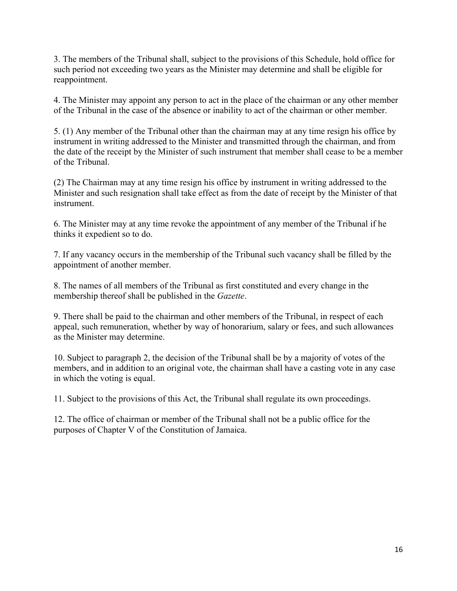3. The members of the Tribunal shall, subject to the provisions of this Schedule, hold office for such period not exceeding two years as the Minister may determine and shall be eligible for reappointment.

4. The Minister may appoint any person to act in the place of the chairman or any other member of the Tribunal in the case of the absence or inability to act of the chairman or other member.

5. (1) Any member of the Tribunal other than the chairman may at any time resign his office by instrument in writing addressed to the Minister and transmitted through the chairman, and from the date of the receipt by the Minister of such instrument that member shall cease to be a member of the Tribunal.

(2) The Chairman may at any time resign his office by instrument in writing addressed to the Minister and such resignation shall take effect as from the date of receipt by the Minister of that instrument.

6. The Minister may at any time revoke the appointment of any member of the Tribunal if he thinks it expedient so to do.

7. If any vacancy occurs in the membership of the Tribunal such vacancy shall be filled by the appointment of another member.

8. The names of all members of the Tribunal as first constituted and every change in the membership thereof shall be published in the *Gazette*.

9. There shall be paid to the chairman and other members of the Tribunal, in respect of each appeal, such remuneration, whether by way of honorarium, salary or fees, and such allowances as the Minister may determine.

10. Subject to paragraph 2, the decision of the Tribunal shall be by a majority of votes of the members, and in addition to an original vote, the chairman shall have a casting vote in any case in which the voting is equal.

11. Subject to the provisions of this Act, the Tribunal shall regulate its own proceedings.

12. The office of chairman or member of the Tribunal shall not be a public office for the purposes of Chapter V of the Constitution of Jamaica.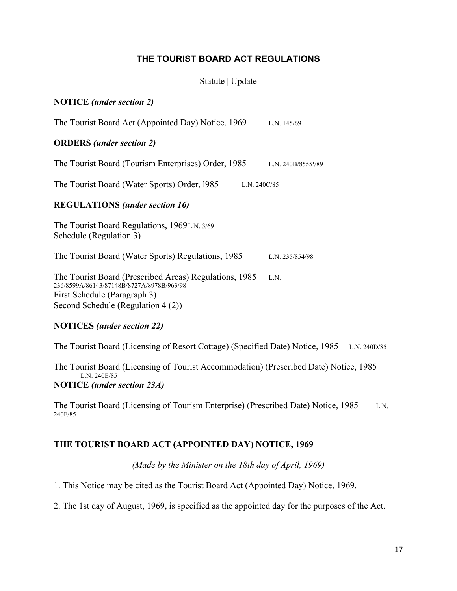# **THE TOURIST BOARD ACT REGULATIONS**

## Statute | Update

### **NOTICE** *(under section 2)*

The Tourist Board Act (Appointed Day) Notice, 1969 L.N. 145/69

### **ORDERS** *(under section 2)*

The Tourist Board (Tourism Enterprises) Order, 1985 L.N. 240B/8555<sup>1</sup>/89

The Tourist Board (Water Sports) Order, 1985 L.N. 240C/85

### **REGULATIONS** *(under section 16)*

The Tourist Board Regulations, 1969 L.N. 3/69 Schedule (Regulation 3)

The Tourist Board (Water Sports) Regulations, 1985 L.N. 235/854/98

The Tourist Board (Prescribed Areas) Regulations, 1985 L.N. 236/8599A/86143/87148B/8727A/8978B/963/98 First Schedule (Paragraph 3) Second Schedule (Regulation 4 (2))

### **NOTICES** *(under section 22)*

The Tourist Board (Licensing of Resort Cottage) (Specified Date) Notice, 1985 L.N. 240D/85

The Tourist Board (Licensing of Tourist Accommodation) (Prescribed Date) Notice, 1985 L.N. 240E/85 **NOTICE** *(under section 23A)*

The Tourist Board (Licensing of Tourism Enterprise) (Prescribed Date) Notice, 1985 L.N. 240F/85

## **THE TOURIST BOARD ACT (APPOINTED DAY) NOTICE, 1969**

*(Made by the Minister on the 18th day of April, 1969)*

1. This Notice may be cited as the Tourist Board Act (Appointed Day) Notice, 1969.

2. The 1st day of August, 1969, is specified as the appointed day for the purposes of the Act.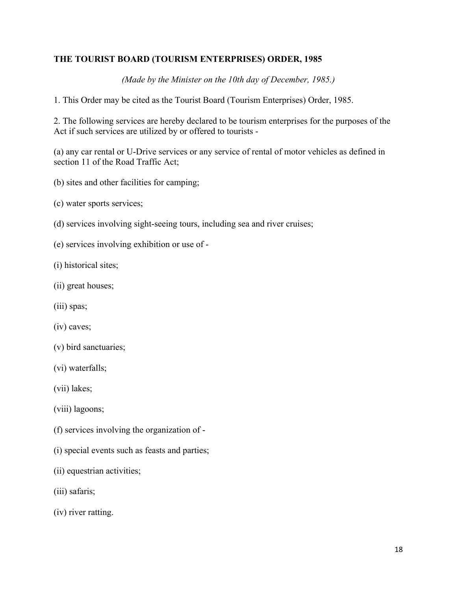## **THE TOURIST BOARD (TOURISM ENTERPRISES) ORDER, 1985**

*(Made by the Minister on the 10th day of December, 1985.)*

1. This Order may be cited as the Tourist Board (Tourism Enterprises) Order, 1985.

2. The following services are hereby declared to be tourism enterprises for the purposes of the Act if such services are utilized by or offered to tourists -

(a) any car rental or U-Drive services or any service of rental of motor vehicles as defined in section 11 of the Road Traffic Act;

- (b) sites and other facilities for camping;
- (c) water sports services;
- (d) services involving sight-seeing tours, including sea and river cruises;
- (e) services involving exhibition or use of -
- (i) historical sites;
- (ii) great houses;
- (iii) spas;
- (iv) caves;
- (v) bird sanctuaries;
- (vi) waterfalls;
- (vii) lakes;
- (viii) lagoons;
- (f) services involving the organization of -
- (i) special events such as feasts and parties;
- (ii) equestrian activities;
- (iii) safaris;
- (iv) river ratting.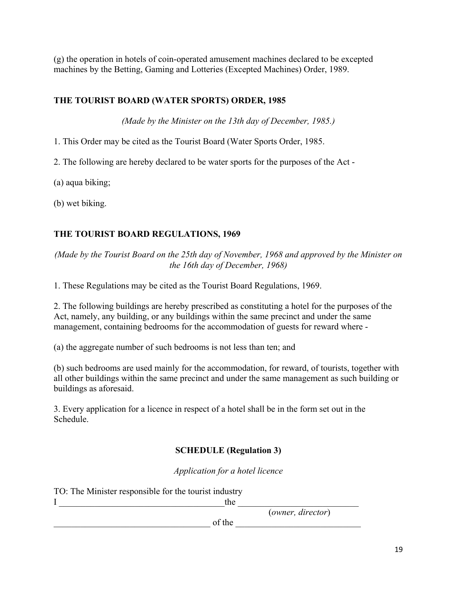(g) the operation in hotels of coin-operated amusement machines declared to be excepted machines by the Betting, Gaming and Lotteries (Excepted Machines) Order, 1989.

## **THE TOURIST BOARD (WATER SPORTS) ORDER, 1985**

*(Made by the Minister on the 13th day of December, 1985.)*

1. This Order may be cited as the Tourist Board (Water Sports Order, 1985.

2. The following are hereby declared to be water sports for the purposes of the Act -

(a) aqua biking;

(b) wet biking.

## **THE TOURIST BOARD REGULATIONS, 1969**

*(Made by the Tourist Board on the 25th day of November, 1968 and approved by the Minister on the 16th day of December, 1968)*

1. These Regulations may be cited as the Tourist Board Regulations, 1969.

2. The following buildings are hereby prescribed as constituting a hotel for the purposes of the Act, namely, any building, or any buildings within the same precinct and under the same management, containing bedrooms for the accommodation of guests for reward where -

(a) the aggregate number of such bedrooms is not less than ten; and

(b) such bedrooms are used mainly for the accommodation, for reward, of tourists, together with all other buildings within the same precinct and under the same management as such building or buildings as aforesaid.

3. Every application for a licence in respect of a hotel shall be in the form set out in the Schedule.

## **SCHEDULE (Regulation 3)**

*Application for a hotel licence*

TO: The Minister responsible for the tourist industry I the the state  $\overline{a}$  and  $\overline{b}$  and  $\overline{b}$  and  $\overline{c}$  and  $\overline{c}$  and  $\overline{c}$  and  $\overline{c}$  and  $\overline{c}$  and  $\overline{c}$  and  $\overline{c}$  and  $\overline{c}$  and  $\overline{c}$  and  $\overline{c}$  and  $\overline{c}$  and  $\overline{c}$  and  $\overline{c}$  an (*owner, director*)  $\alpha$  of the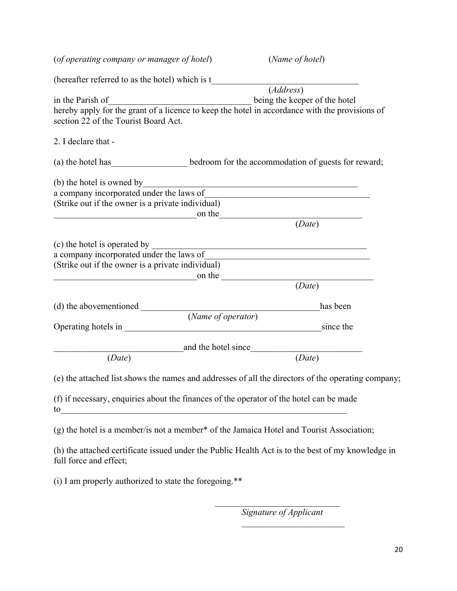(*of operating company or manager of hotel*) (*Name of hotel*)

| (hereafter referred to as the hotel) which is t                                                                 |                                                                   |          |
|-----------------------------------------------------------------------------------------------------------------|-------------------------------------------------------------------|----------|
|                                                                                                                 | (Address)                                                         |          |
|                                                                                                                 |                                                                   |          |
| in the Parish of hereby apply for the grant of a licence to keep the hotel in accordance with the provisions of |                                                                   |          |
| section 22 of the Tourist Board Act.                                                                            |                                                                   |          |
|                                                                                                                 |                                                                   |          |
| 2. I declare that -                                                                                             |                                                                   |          |
|                                                                                                                 |                                                                   |          |
| (a) the hotel has bedroom for the accommodation of guests for reward;                                           |                                                                   |          |
|                                                                                                                 |                                                                   |          |
| (b) the hotel is owned by                                                                                       |                                                                   |          |
| a company incorporated under the laws of                                                                        |                                                                   |          |
| (Strike out if the owner is a private individual)                                                               |                                                                   |          |
| <u> 1989 - Johann Barn, fransk politik (d. 1989)</u>                                                            | on the                                                            |          |
|                                                                                                                 | (Date)                                                            |          |
|                                                                                                                 |                                                                   |          |
| a company incorporated under the laws of                                                                        |                                                                   |          |
| (Strike out if the owner is a private individual)                                                               | <u> 1989 - Johann John Stone, mars eta biztanleria (h. 1989).</u> |          |
| on the service of the service of the service of the service of the service of the service of the service of the |                                                                   |          |
|                                                                                                                 | (Date)                                                            |          |
|                                                                                                                 |                                                                   |          |
|                                                                                                                 |                                                                   | has been |
| (Name of operator)                                                                                              |                                                                   |          |
|                                                                                                                 |                                                                   |          |
|                                                                                                                 |                                                                   |          |
| and the hotel since                                                                                             |                                                                   |          |
| (Date)                                                                                                          | (Date)                                                            |          |
|                                                                                                                 |                                                                   |          |
| (e) the attached list shows the names and addresses of all the directors of the operating company;              |                                                                   |          |
|                                                                                                                 |                                                                   |          |
| (f) if necessary, enquiries about the finances of the operator of the hotel can be made                         |                                                                   |          |
| <u> 1989 - Johann Barbara, martxa amerikan bashkar (</u><br>to                                                  |                                                                   |          |
|                                                                                                                 |                                                                   |          |
| (g) the hotel is a member/is not a member* of the Jamaica Hotel and Tourist Association;                        |                                                                   |          |
| (h) the attached certificate issued under the Public Health Act is to the best of my knowledge in               |                                                                   |          |
| full force and effect;                                                                                          |                                                                   |          |

(i) I am properly authorized to state the foregoing.\*\*

*Signature of Applicant* 

 $\overline{\phantom{a}}$  , where  $\overline{\phantom{a}}$ 

 $\mathcal{L}_\text{max}$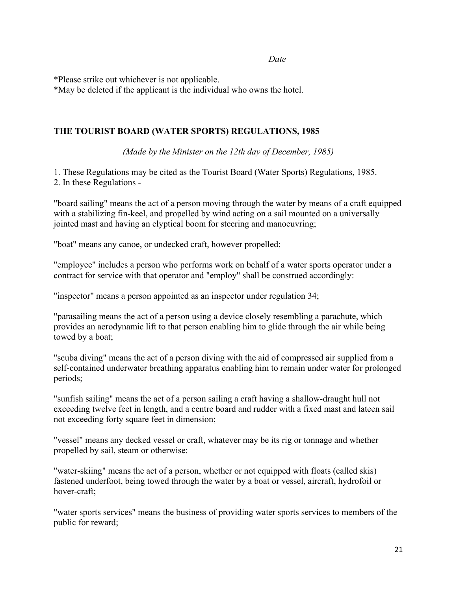*Date*

\*Please strike out whichever is not applicable.

\*May be deleted if the applicant is the individual who owns the hotel.

# **THE TOURIST BOARD (WATER SPORTS) REGULATIONS, 1985**

*(Made by the Minister on the 12th day of December, 1985)*

1. These Regulations may be cited as the Tourist Board (Water Sports) Regulations, 1985.

2. In these Regulations -

"board sailing" means the act of a person moving through the water by means of a craft equipped with a stabilizing fin-keel, and propelled by wind acting on a sail mounted on a universally jointed mast and having an elyptical boom for steering and manoeuvring;

"boat" means any canoe, or undecked craft, however propelled;

"employee" includes a person who performs work on behalf of a water sports operator under a contract for service with that operator and "employ" shall be construed accordingly:

"inspector" means a person appointed as an inspector under regulation 34;

"parasailing means the act of a person using a device closely resembling a parachute, which provides an aerodynamic lift to that person enabling him to glide through the air while being towed by a boat;

"scuba diving" means the act of a person diving with the aid of compressed air supplied from a self-contained underwater breathing apparatus enabling him to remain under water for prolonged periods;

"sunfish sailing" means the act of a person sailing a craft having a shallow-draught hull not exceeding twelve feet in length, and a centre board and rudder with a fixed mast and lateen sail not exceeding forty square feet in dimension;

"vessel" means any decked vessel or craft, whatever may be its rig or tonnage and whether propelled by sail, steam or otherwise:

"water-skiing" means the act of a person, whether or not equipped with floats (called skis) fastened underfoot, being towed through the water by a boat or vessel, aircraft, hydrofoil or hover-craft;

"water sports services" means the business of providing water sports services to members of the public for reward;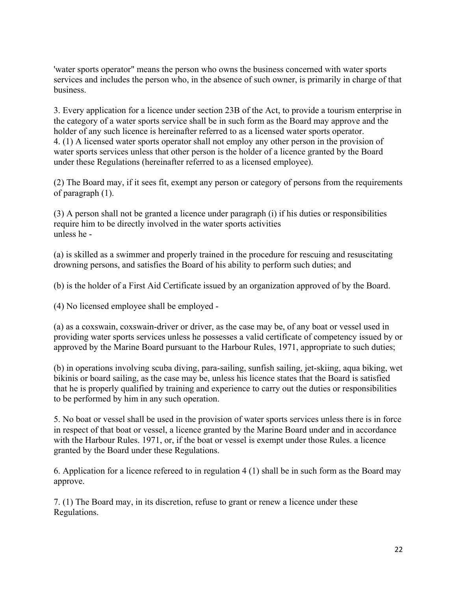'water sports operator" means the person who owns the business concerned with water sports services and includes the person who, in the absence of such owner, is primarily in charge of that business.

3. Every application for a licence under section 23B of the Act, to provide a tourism enterprise in the category of a water sports service shall be in such form as the Board may approve and the holder of any such licence is hereinafter referred to as a licensed water sports operator. 4. (1) A licensed water sports operator shall not employ any other person in the provision of water sports services unless that other person is the holder of a licence granted by the Board under these Regulations (hereinafter referred to as a licensed employee).

(2) The Board may, if it sees fit, exempt any person or category of persons from the requirements of paragraph (1).

(3) A person shall not be granted a licence under paragraph (i) if his duties or responsibilities require him to be directly involved in the water sports activities unless he -

(a) is skilled as a swimmer and properly trained in the procedure for rescuing and resuscitating drowning persons, and satisfies the Board of his ability to perform such duties; and

(b) is the holder of a First Aid Certificate issued by an organization approved of by the Board.

(4) No licensed employee shall be employed -

(a) as a coxswain, coxswain-driver or driver, as the case may be, of any boat or vessel used in providing water sports services unless he possesses a valid certificate of competency issued by or approved by the Marine Board pursuant to the Harbour Rules, 1971, appropriate to such duties;

(b) in operations involving scuba diving, para-sailing, sunfish sailing, jet-skiing, aqua biking, wet bikinis or board sailing, as the case may be, unless his licence states that the Board is satisfied that he is properly qualified by training and experience to carry out the duties or responsibilities to be performed by him in any such operation.

5. No boat or vessel shall be used in the provision of water sports services unless there is in force in respect of that boat or vessel, a licence granted by the Marine Board under and in accordance with the Harbour Rules. 1971, or, if the boat or vessel is exempt under those Rules. a licence granted by the Board under these Regulations.

6. Application for a licence refereed to in regulation 4 (1) shall be in such form as the Board may approve.

7. (1) The Board may, in its discretion, refuse to grant or renew a licence under these Regulations.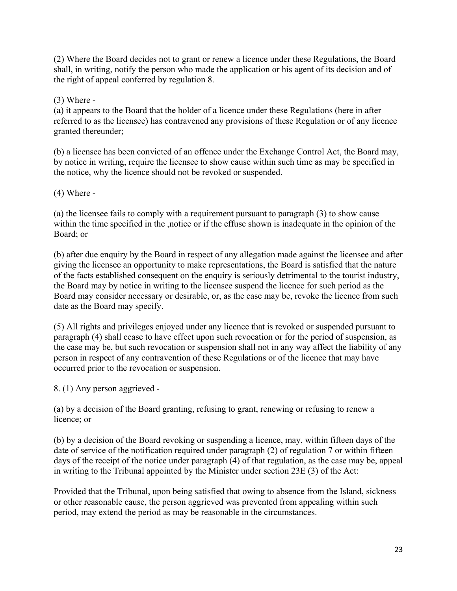(2) Where the Board decides not to grant or renew a licence under these Regulations, the Board shall, in writing, notify the person who made the application or his agent of its decision and of the right of appeal conferred by regulation 8.

(3) Where -

(a) it appears to the Board that the holder of a licence under these Regulations (here in after referred to as the licensee) has contravened any provisions of these Regulation or of any licence granted thereunder;

(b) a licensee has been convicted of an offence under the Exchange Control Act, the Board may, by notice in writing, require the licensee to show cause within such time as may be specified in the notice, why the licence should not be revoked or suspended.

(4) Where -

(a) the licensee fails to comply with a requirement pursuant to paragraph (3) to show cause within the time specified in the ,notice or if the effuse shown is inadequate in the opinion of the Board; or

(b) after due enquiry by the Board in respect of any allegation made against the licensee and after giving the licensee an opportunity to make representations, the Board is satisfied that the nature of the facts established consequent on the enquiry is seriously detrimental to the tourist industry, the Board may by notice in writing to the licensee suspend the licence for such period as the Board may consider necessary or desirable, or, as the case may be, revoke the licence from such date as the Board may specify.

(5) All rights and privileges enjoyed under any licence that is revoked or suspended pursuant to paragraph (4) shall cease to have effect upon such revocation or for the period of suspension, as the case may be, but such revocation or suspension shall not in any way affect the liability of any person in respect of any contravention of these Regulations or of the licence that may have occurred prior to the revocation or suspension.

8. (1) Any person aggrieved -

(a) by a decision of the Board granting, refusing to grant, renewing or refusing to renew a licence; or

(b) by a decision of the Board revoking or suspending a licence, may, within fifteen days of the date of service of the notification required under paragraph (2) of regulation 7 or within fifteen days of the receipt of the notice under paragraph (4) of that regulation, as the case may be, appeal in writing to the Tribunal appointed by the Minister under section 23E (3) of the Act:

Provided that the Tribunal, upon being satisfied that owing to absence from the Island, sickness or other reasonable cause, the person aggrieved was prevented from appealing within such period, may extend the period as may be reasonable in the circumstances.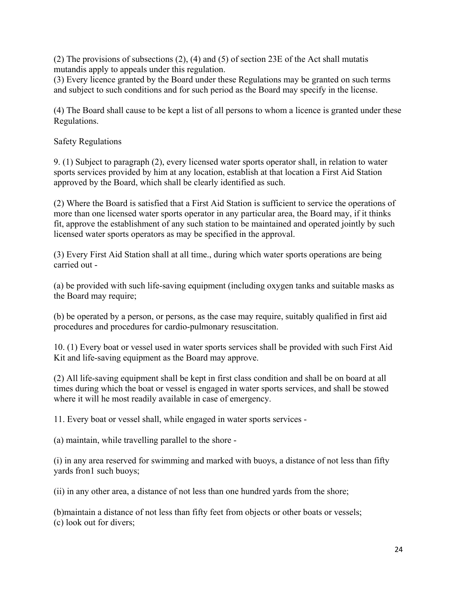(2) The provisions of subsections (2), (4) and (5) of section 23E of the Act shall mutatis mutandis apply to appeals under this regulation.

(3) Every licence granted by the Board under these Regulations may be granted on such terms and subject to such conditions and for such period as the Board may specify in the license.

(4) The Board shall cause to be kept a list of all persons to whom a licence is granted under these Regulations.

Safety Regulations

9. (1) Subject to paragraph (2), every licensed water sports operator shall, in relation to water sports services provided by him at any location, establish at that location a First Aid Station approved by the Board, which shall be clearly identified as such.

(2) Where the Board is satisfied that a First Aid Station is sufficient to service the operations of more than one licensed water sports operator in any particular area, the Board may, if it thinks fit, approve the establishment of any such station to be maintained and operated jointly by such licensed water sports operators as may be specified in the approval.

(3) Every First Aid Station shall at all time., during which water sports operations are being carried out -

(a) be provided with such life-saving equipment (including oxygen tanks and suitable masks as the Board may require;

(b) be operated by a person, or persons, as the case may require, suitably qualified in first aid procedures and procedures for cardio-pulmonary resuscitation.

10. (1) Every boat or vessel used in water sports services shall be provided with such First Aid Kit and life-saving equipment as the Board may approve.

(2) All life-saving equipment shall be kept in first class condition and shall be on board at all times during which the boat or vessel is engaged in water sports services, and shall be stowed where it will he most readily available in case of emergency.

11. Every boat or vessel shall, while engaged in water sports services -

(a) maintain, while travelling parallel to the shore -

(i) in any area reserved for swimming and marked with buoys, a distance of not less than fifty yards fron1 such buoys;

(ii) in any other area, a distance of not less than one hundred yards from the shore;

(b)maintain a distance of not less than fifty feet from objects or other boats or vessels; (c) look out for divers;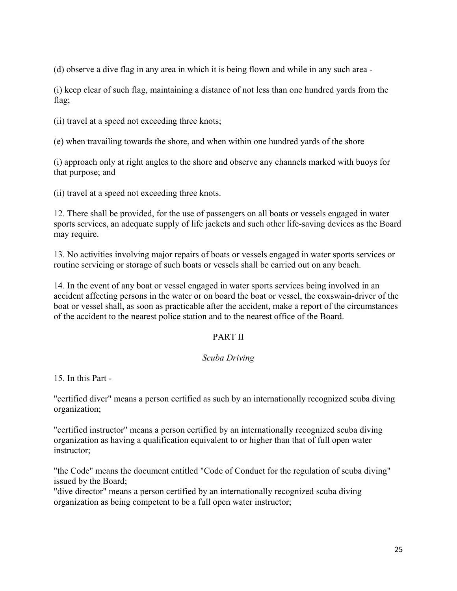(d) observe a dive flag in any area in which it is being flown and while in any such area -

(i) keep clear of such flag, maintaining a distance of not less than one hundred yards from the flag;

(ii) travel at a speed not exceeding three knots;

(e) when travailing towards the shore, and when within one hundred yards of the shore

(i) approach only at right angles to the shore and observe any channels marked with buoys for that purpose; and

(ii) travel at a speed not exceeding three knots.

12. There shall be provided, for the use of passengers on all boats or vessels engaged in water sports services, an adequate supply of life jackets and such other life-saving devices as the Board may require.

13. No activities involving major repairs of boats or vessels engaged in water sports services or routine servicing or storage of such boats or vessels shall be carried out on any beach.

14. In the event of any boat or vessel engaged in water sports services being involved in an accident affecting persons in the water or on board the boat or vessel, the coxswain-driver of the boat or vessel shall, as soon as practicable after the accident, make a report of the circumstances of the accident to the nearest police station and to the nearest office of the Board.

# PART II

## *Scuba Driving*

15. In this Part -

"certified diver" means a person certified as such by an internationally recognized scuba diving organization;

"certified instructor" means a person certified by an internationally recognized scuba diving organization as having a qualification equivalent to or higher than that of full open water instructor;

"the Code" means the document entitled "Code of Conduct for the regulation of scuba diving" issued by the Board;

"dive director" means a person certified by an internationally recognized scuba diving organization as being competent to be a full open water instructor;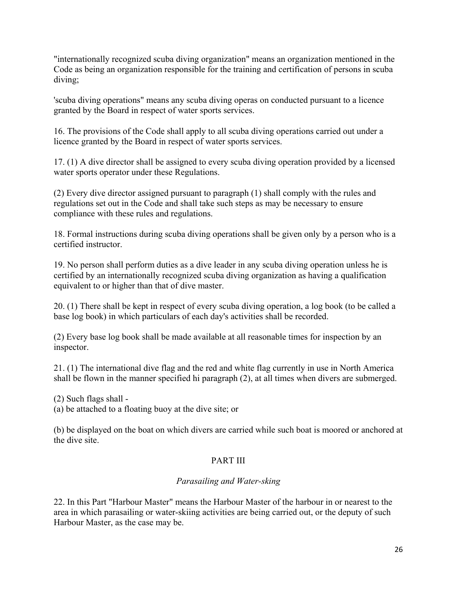"internationally recognized scuba diving organization" means an organization mentioned in the Code as being an organization responsible for the training and certification of persons in scuba diving;

'scuba diving operations" means any scuba diving operas on conducted pursuant to a licence granted by the Board in respect of water sports services.

16. The provisions of the Code shall apply to all scuba diving operations carried out under a licence granted by the Board in respect of water sports services.

17. (1) A dive director shall be assigned to every scuba diving operation provided by a licensed water sports operator under these Regulations.

(2) Every dive director assigned pursuant to paragraph (1) shall comply with the rules and regulations set out in the Code and shall take such steps as may be necessary to ensure compliance with these rules and regulations.

18. Formal instructions during scuba diving operations shall be given only by a person who is a certified instructor.

19. No person shall perform duties as a dive leader in any scuba diving operation unless he is certified by an internationally recognized scuba diving organization as having a qualification equivalent to or higher than that of dive master.

20. (1) There shall be kept in respect of every scuba diving operation, a log book (to be called a base log book) in which particulars of each day's activities shall be recorded.

(2) Every base log book shall be made available at all reasonable times for inspection by an inspector.

21. (1) The international dive flag and the red and white flag currently in use in North America shall be flown in the manner specified hi paragraph (2), at all times when divers are submerged.

(2) Such flags shall -

(a) be attached to a floating buoy at the dive site; or

(b) be displayed on the boat on which divers are carried while such boat is moored or anchored at the dive site.

# PART III

## *Parasailing and Water-sking*

22. In this Part "Harbour Master" means the Harbour Master of the harbour in or nearest to the area in which parasailing or water-skiing activities are being carried out, or the deputy of such Harbour Master, as the case may be.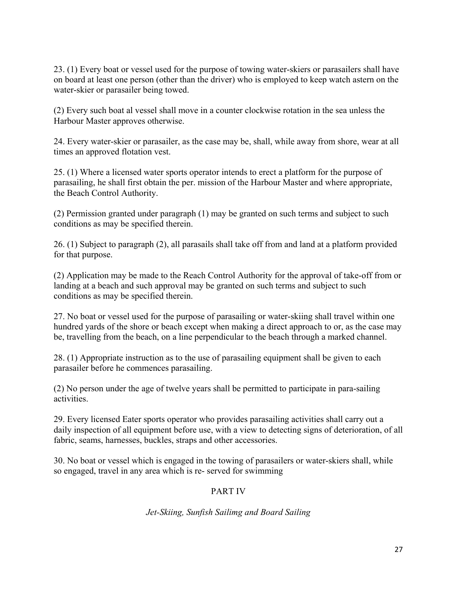23. (1) Every boat or vessel used for the purpose of towing water-skiers or parasailers shall have on board at least one person (other than the driver) who is employed to keep watch astern on the water-skier or parasailer being towed.

(2) Every such boat al vessel shall move in a counter clockwise rotation in the sea unless the Harbour Master approves otherwise.

24. Every water-skier or parasailer, as the case may be, shall, while away from shore, wear at all times an approved flotation vest.

25. (1) Where a licensed water sports operator intends to erect a platform for the purpose of parasailing, he shall first obtain the per. mission of the Harbour Master and where appropriate, the Beach Control Authority.

(2) Permission granted under paragraph (1) may be granted on such terms and subject to such conditions as may be specified therein.

26. (1) Subject to paragraph (2), all parasails shall take off from and land at a platform provided for that purpose.

(2) Application may be made to the Reach Control Authority for the approval of take-off from or landing at a beach and such approval may be granted on such terms and subject to such conditions as may be specified therein.

27. No boat or vessel used for the purpose of parasailing or water-skiing shall travel within one hundred yards of the shore or beach except when making a direct approach to or, as the case may be, travelling from the beach, on a line perpendicular to the beach through a marked channel.

28. (1) Appropriate instruction as to the use of parasailing equipment shall be given to each parasailer before he commences parasailing.

(2) No person under the age of twelve years shall be permitted to participate in para-sailing activities.

29. Every licensed Eater sports operator who provides parasailing activities shall carry out a daily inspection of all equipment before use, with a view to detecting signs of deterioration, of all fabric, seams, harnesses, buckles, straps and other accessories.

30. No boat or vessel which is engaged in the towing of parasailers or water-skiers shall, while so engaged, travel in any area which is re- served for swimming

## PART IV

## *Jet-Skiing, Sunfish Sailimg and Board Sailing*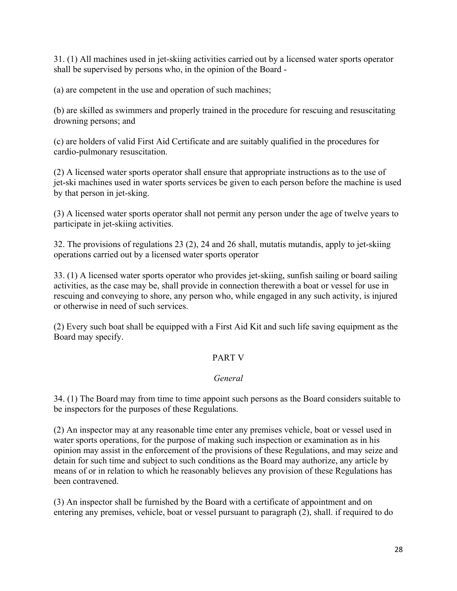31. (1) All machines used in jet-skiing activities carried out by a licensed water sports operator shall be supervised by persons who, in the opinion of the Board -

(a) are competent in the use and operation of such machines;

(b) are skilled as swimmers and properly trained in the procedure for rescuing and resuscitating drowning persons; and

(c) are holders of valid First Aid Certificate and are suitably qualified in the procedures for cardio-pulmonary resuscitation.

(2) A licensed water sports operator shall ensure that appropriate instructions as to the use of jet-ski machines used in water sports services be given to each person before the machine is used by that person in jet-sking.

(3) A licensed water sports operator shall not permit any person under the age of twelve years to participate in jet-skiing activities.

32. The provisions of regulations 23 (2), 24 and 26 shall, mutatis mutandis, apply to jet-skiing operations carried out by a licensed water sports operator

33. (1) A licensed water sports operator who provides jet-skiing, sunfish sailing or board sailing activities, as the case may be, shall provide in connection therewith a boat or vessel for use in rescuing and conveying to shore, any person who, while engaged in any such activity, is injured or otherwise in need of such services.

(2) Every such boat shall be equipped with a First Aid Kit and such life saving equipment as the Board may specify.

# PART V

## *General*

34. (1) The Board may from time to time appoint such persons as the Board considers suitable to be inspectors for the purposes of these Regulations.

(2) An inspector may at any reasonable time enter any premises vehicle, boat or vessel used in water sports operations, for the purpose of making such inspection or examination as in his opinion may assist in the enforcement of the provisions of these Regulations, and may seize and detain for such time and subject to such conditions as the Board may authorize, any article by means of or in relation to which he reasonably believes any provision of these Regulations has been contravened.

(3) An inspector shall be furnished by the Board with a certificate of appointment and on entering any premises, vehicle, boat or vessel pursuant to paragraph (2), shall. if required to do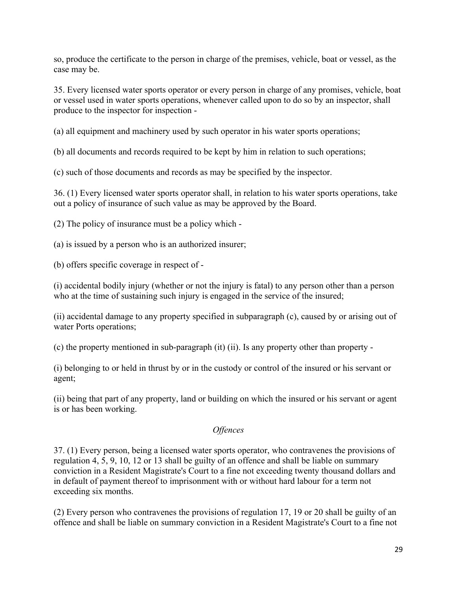so, produce the certificate to the person in charge of the premises, vehicle, boat or vessel, as the case may be.

35. Every licensed water sports operator or every person in charge of any promises, vehicle, boat or vessel used in water sports operations, whenever called upon to do so by an inspector, shall produce to the inspector for inspection -

(a) all equipment and machinery used by such operator in his water sports operations;

(b) all documents and records required to be kept by him in relation to such operations;

(c) such of those documents and records as may be specified by the inspector.

36. (1) Every licensed water sports operator shall, in relation to his water sports operations, take out a policy of insurance of such value as may be approved by the Board.

(2) The policy of insurance must be a policy which -

(a) is issued by a person who is an authorized insurer;

(b) offers specific coverage in respect of -

(i) accidental bodily injury (whether or not the injury is fatal) to any person other than a person who at the time of sustaining such injury is engaged in the service of the insured;

(ii) accidental damage to any property specified in subparagraph (c), caused by or arising out of water Ports operations;

(c) the property mentioned in sub-paragraph (it) (ii). Is any property other than property -

(i) belonging to or held in thrust by or in the custody or control of the insured or his servant or agent;

(ii) being that part of any property, land or building on which the insured or his servant or agent is or has been working.

# *Offences*

37. (1) Every person, being a licensed water sports operator, who contravenes the provisions of regulation 4, 5, 9, 10, 12 or 13 shall be guilty of an offence and shall be liable on summary conviction in a Resident Magistrate's Court to a fine not exceeding twenty thousand dollars and in default of payment thereof to imprisonment with or without hard labour for a term not exceeding six months.

(2) Every person who contravenes the provisions of regulation 17, 19 or 20 shall be guilty of an offence and shall be liable on summary conviction in a Resident Magistrate's Court to a fine not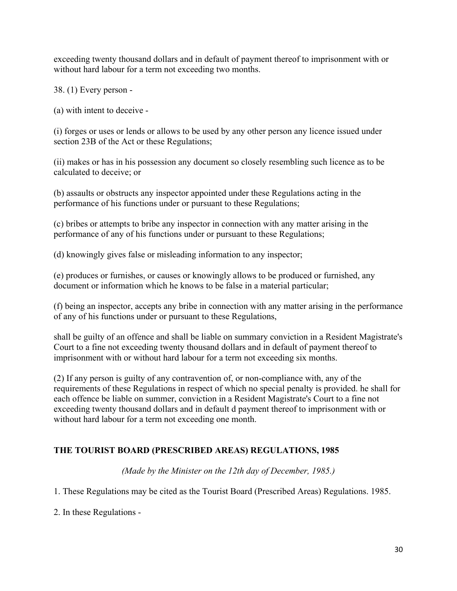exceeding twenty thousand dollars and in default of payment thereof to imprisonment with or without hard labour for a term not exceeding two months.

38. (1) Every person -

(a) with intent to deceive -

(i) forges or uses or lends or allows to be used by any other person any licence issued under section 23B of the Act or these Regulations;

(ii) makes or has in his possession any document so closely resembling such licence as to be calculated to deceive; or

(b) assaults or obstructs any inspector appointed under these Regulations acting in the performance of his functions under or pursuant to these Regulations;

(c) bribes or attempts to bribe any inspector in connection with any matter arising in the performance of any of his functions under or pursuant to these Regulations;

(d) knowingly gives false or misleading information to any inspector;

(e) produces or furnishes, or causes or knowingly allows to be produced or furnished, any document or information which he knows to be false in a material particular;

(f) being an inspector, accepts any bribe in connection with any matter arising in the performance of any of his functions under or pursuant to these Regulations,

shall be guilty of an offence and shall be liable on summary conviction in a Resident Magistrate's Court to a fine not exceeding twenty thousand dollars and in default of payment thereof to imprisonment with or without hard labour for a term not exceeding six months.

(2) If any person is guilty of any contravention of, or non-compliance with, any of the requirements of these Regulations in respect of which no special penalty is provided. he shall for each offence be liable on summer, conviction in a Resident Magistrate's Court to a fine not exceeding twenty thousand dollars and in default d payment thereof to imprisonment with or without hard labour for a term not exceeding one month.

## **THE TOURIST BOARD (PRESCRIBED AREAS) REGULATIONS, 1985**

*(Made by the Minister on the 12th day of December, 1985.)*

1. These Regulations may be cited as the Tourist Board (Prescribed Areas) Regulations. 1985.

2. In these Regulations -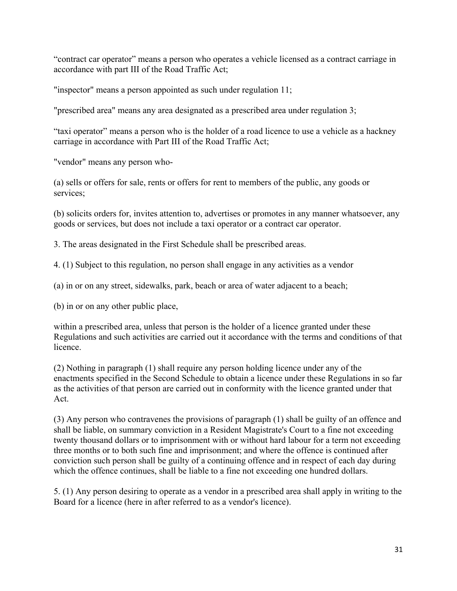"contract car operator" means a person who operates a vehicle licensed as a contract carriage in accordance with part III of the Road Traffic Act;

"inspector" means a person appointed as such under regulation 11;

"prescribed area" means any area designated as a prescribed area under regulation 3;

"taxi operator" means a person who is the holder of a road licence to use a vehicle as a hackney carriage in accordance with Part III of the Road Traffic Act;

"vendor" means any person who-

(a) sells or offers for sale, rents or offers for rent to members of the public, any goods or services;

(b) solicits orders for, invites attention to, advertises or promotes in any manner whatsoever, any goods or services, but does not include a taxi operator or a contract car operator.

3. The areas designated in the First Schedule shall be prescribed areas.

4. (1) Subject to this regulation, no person shall engage in any activities as a vendor

(a) in or on any street, sidewalks, park, beach or area of water adjacent to a beach;

(b) in or on any other public place,

within a prescribed area, unless that person is the holder of a licence granted under these Regulations and such activities are carried out it accordance with the terms and conditions of that licence.

(2) Nothing in paragraph (1) shall require any person holding licence under any of the enactments specified in the Second Schedule to obtain a licence under these Regulations in so far as the activities of that person are carried out in conformity with the licence granted under that Act.

(3) Any person who contravenes the provisions of paragraph (1) shall be guilty of an offence and shall be liable, on summary conviction in a Resident Magistrate's Court to a fine not exceeding twenty thousand dollars or to imprisonment with or without hard labour for a term not exceeding three months or to both such fine and imprisonment; and where the offence is continued after conviction such person shall be guilty of a continuing offence and in respect of each day during which the offence continues, shall be liable to a fine not exceeding one hundred dollars.

5. (1) Any person desiring to operate as a vendor in a prescribed area shall apply in writing to the Board for a licence (here in after referred to as a vendor's licence).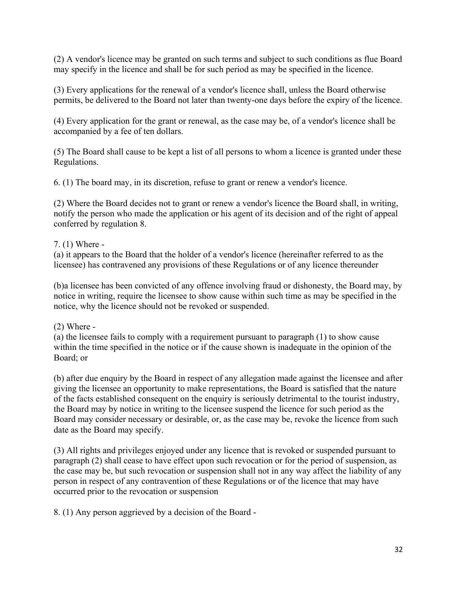(2) A vendor's licence may be granted on such terms and subject to such conditions as flue Board may specify in the licence and shall be for such period as may be specified in the licence.

(3) Every applications for the renewal of a vendor's licence shall, unless the Board otherwise permits, be delivered to the Board not later than twenty-one days before the expiry of the licence.

(4) Every application for the grant or renewal, as the case may be, of a vendor's licence shall be accompanied by a fee of ten dollars.

(5) The Board shall cause to be kept a list of all persons to whom a licence is granted under these Regulations.

6. (1) The board may, in its discretion, refuse to grant or renew a vendor's licence.

(2) Where the Board decides not to grant or renew a vendor's licence the Board shall, in writing, notify the person who made the application or his agent of its decision and of the right of appeal conferred by regulation 8.

## 7. (1) Where -

(a) it appears to the Board that the holder of a vendor's licence (hereinafter referred to as the licensee) has contravened any provisions of these Regulations or of any licence thereunder

(b)a licensee has been convicted of any offence involving fraud or dishonesty, the Board may, by notice in writing, require the licensee to show cause within such time as may be specified in the notice, why the licence should not be revoked or suspended.

## $(2)$  Where -

(a) the licensee fails to comply with a requirement pursuant to paragraph (1) to show cause within the time specified in the notice or if the cause shown is inadequate in the opinion of the Board; or

(b) after due enquiry by the Board in respect of any allegation made against the licensee and after giving the licensee an opportunity to make representations, the Board is satisfied that the nature of the facts established consequent on the enquiry is seriously detrimental to the tourist industry, the Board may by notice in writing to the licensee suspend the licence for such period as the Board may consider necessary or desirable, or, as the case may be, revoke the licence from such date as the Board may specify.

(3) All rights and privileges enjoyed under any licence that is revoked or suspended pursuant to paragraph (2) shall cease to have effect upon such revocation or for the period of suspension, as the case may be, but such revocation or suspension shall not in any way affect the liability of any person in respect of any contravention of these Regulations or of the licence that may have occurred prior to the revocation or suspension

8. (1) Any person aggrieved by a decision of the Board -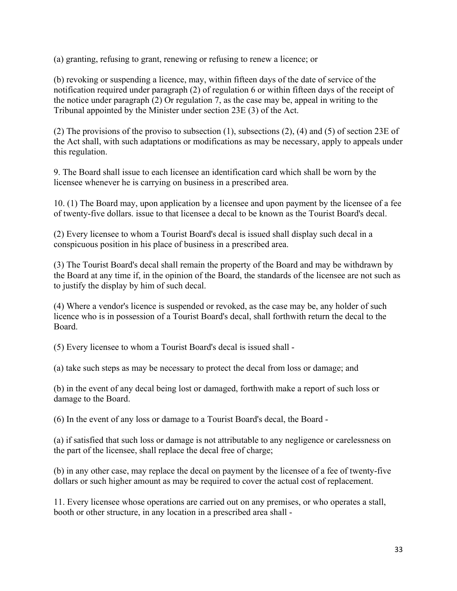(a) granting, refusing to grant, renewing or refusing to renew a licence; or

(b) revoking or suspending a licence, may, within fifteen days of the date of service of the notification required under paragraph (2) of regulation 6 or within fifteen days of the receipt of the notice under paragraph (2) Or regulation 7, as the case may be, appeal in writing to the Tribunal appointed by the Minister under section 23E (3) of the Act.

(2) The provisions of the proviso to subsection (1), subsections (2), (4) and (5) of section 23E of the Act shall, with such adaptations or modifications as may be necessary, apply to appeals under this regulation.

9. The Board shall issue to each licensee an identification card which shall be worn by the licensee whenever he is carrying on business in a prescribed area.

10. (1) The Board may, upon application by a licensee and upon payment by the licensee of a fee of twenty-five dollars. issue to that licensee a decal to be known as the Tourist Board's decal.

(2) Every licensee to whom a Tourist Board's decal is issued shall display such decal in a conspicuous position in his place of business in a prescribed area.

(3) The Tourist Board's decal shall remain the property of the Board and may be withdrawn by the Board at any time if, in the opinion of the Board, the standards of the licensee are not such as to justify the display by him of such decal.

(4) Where a vendor's licence is suspended or revoked, as the case may be, any holder of such licence who is in possession of a Tourist Board's decal, shall forthwith return the decal to the Board.

(5) Every licensee to whom a Tourist Board's decal is issued shall -

(a) take such steps as may be necessary to protect the decal from loss or damage; and

(b) in the event of any decal being lost or damaged, forthwith make a report of such loss or damage to the Board.

(6) In the event of any loss or damage to a Tourist Board's decal, the Board -

(a) if satisfied that such loss or damage is not attributable to any negligence or carelessness on the part of the licensee, shall replace the decal free of charge;

(b) in any other case, may replace the decal on payment by the licensee of a fee of twenty-five dollars or such higher amount as may be required to cover the actual cost of replacement.

11. Every licensee whose operations are carried out on any premises, or who operates a stall, booth or other structure, in any location in a prescribed area shall -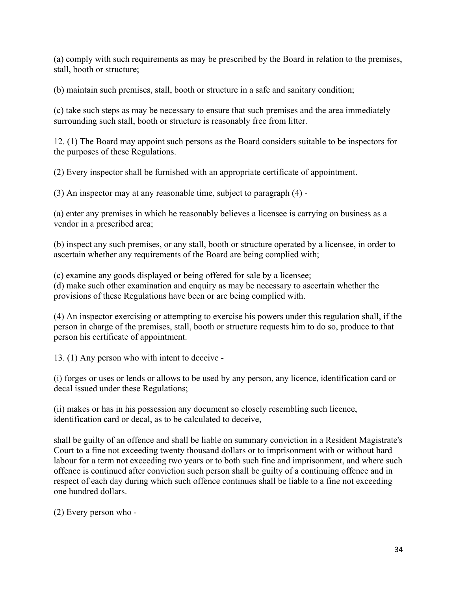(a) comply with such requirements as may be prescribed by the Board in relation to the premises, stall, booth or structure;

(b) maintain such premises, stall, booth or structure in a safe and sanitary condition;

(c) take such steps as may be necessary to ensure that such premises and the area immediately surrounding such stall, booth or structure is reasonably free from litter.

12. (1) The Board may appoint such persons as the Board considers suitable to be inspectors for the purposes of these Regulations.

(2) Every inspector shall be furnished with an appropriate certificate of appointment.

(3) An inspector may at any reasonable time, subject to paragraph (4) -

(a) enter any premises in which he reasonably believes a licensee is carrying on business as a vendor in a prescribed area;

(b) inspect any such premises, or any stall, booth or structure operated by a licensee, in order to ascertain whether any requirements of the Board are being complied with;

(c) examine any goods displayed or being offered for sale by a licensee; (d) make such other examination and enquiry as may be necessary to ascertain whether the provisions of these Regulations have been or are being complied with.

(4) An inspector exercising or attempting to exercise his powers under this regulation shall, if the person in charge of the premises, stall, booth or structure requests him to do so, produce to that person his certificate of appointment.

13. (1) Any person who with intent to deceive -

(i) forges or uses or lends or allows to be used by any person, any licence, identification card or decal issued under these Regulations;

(ii) makes or has in his possession any document so closely resembling such licence, identification card or decal, as to be calculated to deceive,

shall be guilty of an offence and shall be liable on summary conviction in a Resident Magistrate's Court to a fine not exceeding twenty thousand dollars or to imprisonment with or without hard labour for a term not exceeding two years or to both such fine and imprisonment, and where such offence is continued after conviction such person shall be guilty of a continuing offence and in respect of each day during which such offence continues shall be liable to a fine not exceeding one hundred dollars.

(2) Every person who -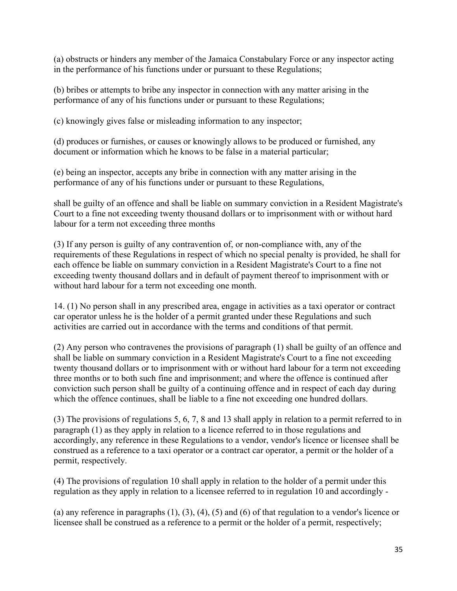(a) obstructs or hinders any member of the Jamaica Constabulary Force or any inspector acting in the performance of his functions under or pursuant to these Regulations;

(b) bribes or attempts to bribe any inspector in connection with any matter arising in the performance of any of his functions under or pursuant to these Regulations;

(c) knowingly gives false or misleading information to any inspector;

(d) produces or furnishes, or causes or knowingly allows to be produced or furnished, any document or information which he knows to be false in a material particular;

(e) being an inspector, accepts any bribe in connection with any matter arising in the performance of any of his functions under or pursuant to these Regulations,

shall be guilty of an offence and shall be liable on summary conviction in a Resident Magistrate's Court to a fine not exceeding twenty thousand dollars or to imprisonment with or without hard labour for a term not exceeding three months

(3) If any person is guilty of any contravention of, or non-compliance with, any of the requirements of these Regulations in respect of which no special penalty is provided, he shall for each offence be liable on summary conviction in a Resident Magistrate's Court to a fine not exceeding twenty thousand dollars and in default of payment thereof to imprisonment with or without hard labour for a term not exceeding one month.

14. (1) No person shall in any prescribed area, engage in activities as a taxi operator or contract car operator unless he is the holder of a permit granted under these Regulations and such activities are carried out in accordance with the terms and conditions of that permit.

(2) Any person who contravenes the provisions of paragraph (1) shall be guilty of an offence and shall be liable on summary conviction in a Resident Magistrate's Court to a fine not exceeding twenty thousand dollars or to imprisonment with or without hard labour for a term not exceeding three months or to both such fine and imprisonment; and where the offence is continued after conviction such person shall be guilty of a continuing offence and in respect of each day during which the offence continues, shall be liable to a fine not exceeding one hundred dollars.

(3) The provisions of regulations 5, 6, 7, 8 and 13 shall apply in relation to a permit referred to in paragraph (1) as they apply in relation to a licence referred to in those regulations and accordingly, any reference in these Regulations to a vendor, vendor's licence or licensee shall be construed as a reference to a taxi operator or a contract car operator, a permit or the holder of a permit, respectively.

(4) The provisions of regulation 10 shall apply in relation to the holder of a permit under this regulation as they apply in relation to a licensee referred to in regulation 10 and accordingly -

(a) any reference in paragraphs  $(1)$ ,  $(3)$ ,  $(4)$ ,  $(5)$  and  $(6)$  of that regulation to a vendor's licence or licensee shall be construed as a reference to a permit or the holder of a permit, respectively;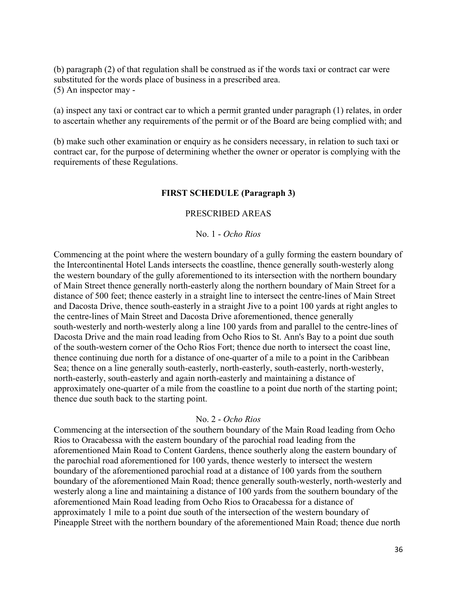(b) paragraph (2) of that regulation shall be construed as if the words taxi or contract car were substituted for the words place of business in a prescribed area. (5) An inspector may -

(a) inspect any taxi or contract car to which a permit granted under paragraph (1) relates, in order to ascertain whether any requirements of the permit or of the Board are being complied with; and

(b) make such other examination or enquiry as he considers necessary, in relation to such taxi or contract car, for the purpose of determining whether the owner or operator is complying with the requirements of these Regulations.

#### **FIRST SCHEDULE (Paragraph 3)**

#### PRESCRIBED AREAS

#### No. 1 - *Ocho Rios*

Commencing at the point where the western boundary of a gully forming the eastern boundary of the Intercontinental Hotel Lands intersects the coastline, thence generally south-westerly along the western boundary of the gully aforementioned to its intersection with the northern boundary of Main Street thence generally north-easterly along the northern boundary of Main Street for a distance of 500 feet; thence easterly in a straight line to intersect the centre-lines of Main Street and Dacosta Drive, thence south-easterly in a straight Jive to a point 100 yards at right angles to the centre-lines of Main Street and Dacosta Drive aforementioned, thence generally south-westerly and north-westerly along a line 100 yards from and parallel to the centre-lines of Dacosta Drive and the main road leading from Ocho Rios to St. Ann's Bay to a point due south of the south-western corner of the Ocho Rios Fort; thence due north to intersect the coast line, thence continuing due north for a distance of one-quarter of a mile to a point in the Caribbean Sea; thence on a line generally south-easterly, north-easterly, south-easterly, north-westerly, north-easterly, south-easterly and again north-easterly and maintaining a distance of approximately one-quarter of a mile from the coastline to a point due north of the starting point; thence due south back to the starting point.

#### No. 2 - *Ocho Rios*

Commencing at the intersection of the southern boundary of the Main Road leading from Ocho Rios to Oracabessa with the eastern boundary of the parochial road leading from the aforementioned Main Road to Content Gardens, thence southerly along the eastern boundary of the parochial road aforementioned for 100 yards, thence westerly to intersect the western boundary of the aforementioned parochial road at a distance of 100 yards from the southern boundary of the aforementioned Main Road; thence generally south-westerly, north-westerly and westerly along a line and maintaining a distance of 100 yards from the southern boundary of the aforementioned Main Road leading from Ocho Rios to Oracabessa for a distance of approximately 1 mile to a point due south of the intersection of the western boundary of Pineapple Street with the northern boundary of the aforementioned Main Road; thence due north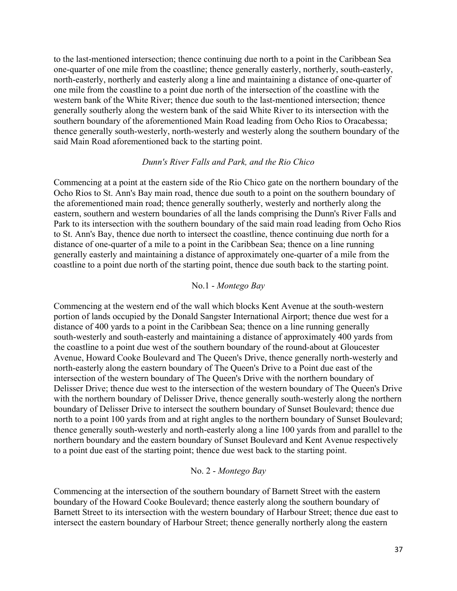to the last-mentioned intersection; thence continuing due north to a point in the Caribbean Sea one-quarter of one mile from the coastline; thence generally easterly, northerly, south-easterly, north-easterly, northerly and easterly along a line and maintaining a distance of one-quarter of one mile from the coastline to a point due north of the intersection of the coastline with the western bank of the White River; thence due south to the last-mentioned intersection; thence generally southerly along the western bank of the said White River to its intersection with the southern boundary of the aforementioned Main Road leading from Ocho Rios to Oracabessa; thence generally south-westerly, north-westerly and westerly along the southern boundary of the said Main Road aforementioned back to the starting point.

#### *Dunn's River Falls and Park, and the Rio Chico*

Commencing at a point at the eastern side of the Rio Chico gate on the northern boundary of the Ocho Rios to St. Ann's Bay main road, thence due south to a point on the southern boundary of the aforementioned main road; thence generally southerly, westerly and northerly along the eastern, southern and western boundaries of all the lands comprising the Dunn's River Falls and Park to its intersection with the southern boundary of the said main road leading from Ocho Rios to St. Ann's Bay, thence due north to intersect the coastline, thence continuing due north for a distance of one-quarter of a mile to a point in the Caribbean Sea; thence on a line running generally easterly and maintaining a distance of approximately one-quarter of a mile from the coastline to a point due north of the starting point, thence due south back to the starting point.

#### No.1 - *Montego Bay*

Commencing at the western end of the wall which blocks Kent Avenue at the south-western portion of lands occupied by the Donald Sangster International Airport; thence due west for a distance of 400 yards to a point in the Caribbean Sea; thence on a line running generally south-westerly and south-easterly and maintaining a distance of approximately 400 yards from the coastline to a point due west of the southern boundary of the round-about at Gloucester Avenue, Howard Cooke Boulevard and The Queen's Drive, thence generally north-westerly and north-easterly along the eastern boundary of The Queen's Drive to a Point due east of the intersection of the western boundary of The Queen's Drive with the northern boundary of Delisser Drive; thence due west to the intersection of the western boundary of The Queen's Drive with the northern boundary of Delisser Drive, thence generally south-westerly along the northern boundary of Delisser Drive to intersect the southern boundary of Sunset Boulevard; thence due north to a point 100 yards from and at right angles to the northern boundary of Sunset Boulevard; thence generally south-westerly and north-easterly along a line 100 yards from and parallel to the northern boundary and the eastern boundary of Sunset Boulevard and Kent Avenue respectively to a point due east of the starting point; thence due west back to the starting point.

#### No. 2 - *Montego Bay*

Commencing at the intersection of the southern boundary of Barnett Street with the eastern boundary of the Howard Cooke Boulevard; thence easterly along the southern boundary of Barnett Street to its intersection with the western boundary of Harbour Street; thence due east to intersect the eastern boundary of Harbour Street; thence generally northerly along the eastern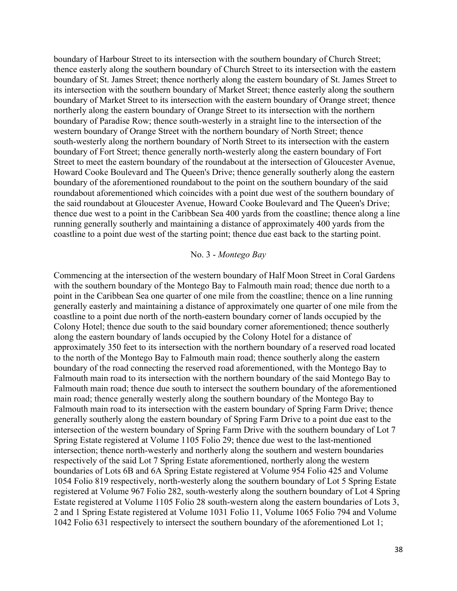boundary of Harbour Street to its intersection with the southern boundary of Church Street; thence easterly along the southern boundary of Church Street to its intersection with the eastern boundary of St. James Street; thence northerly along the eastern boundary of St. James Street to its intersection with the southern boundary of Market Street; thence easterly along the southern boundary of Market Street to its intersection with the eastern boundary of Orange street; thence northerly along the eastern boundary of Orange Street to its intersection with the northern boundary of Paradise Row; thence south-westerly in a straight line to the intersection of the western boundary of Orange Street with the northern boundary of North Street; thence south-westerly along the northern boundary of North Street to its intersection with the eastern boundary of Fort Street; thence generally north-westerly along the eastern boundary of Fort Street to meet the eastern boundary of the roundabout at the intersection of Gloucester Avenue, Howard Cooke Boulevard and The Queen's Drive; thence generally southerly along the eastern boundary of the aforementioned roundabout to the point on the southern boundary of the said roundabout aforementioned which coincides with a point due west of the southern boundary of the said roundabout at Gloucester Avenue, Howard Cooke Boulevard and The Queen's Drive; thence due west to a point in the Caribbean Sea 400 yards from the coastline; thence along a line running generally southerly and maintaining a distance of approximately 400 yards from the coastline to a point due west of the starting point; thence due east back to the starting point.

#### No. 3 - *Montego Bay*

Commencing at the intersection of the western boundary of Half Moon Street in Coral Gardens with the southern boundary of the Montego Bay to Falmouth main road; thence due north to a point in the Caribbean Sea one quarter of one mile from the coastline; thence on a line running generally easterly and maintaining a distance of approximately one quarter of one mile from the coastline to a point due north of the north-eastern boundary corner of lands occupied by the Colony Hotel; thence due south to the said boundary corner aforementioned; thence southerly along the eastern boundary of lands occupied by the Colony Hotel for a distance of approximately 350 feet to its intersection with the northern boundary of a reserved road located to the north of the Montego Bay to Falmouth main road; thence southerly along the eastern boundary of the road connecting the reserved road aforementioned, with the Montego Bay to Falmouth main road to its intersection with the northern boundary of the said Montego Bay to Falmouth main road; thence due south to intersect the southern boundary of the aforementioned main road; thence generally westerly along the southern boundary of the Montego Bay to Falmouth main road to its intersection with the eastern boundary of Spring Farm Drive; thence generally southerly along the eastern boundary of Spring Farm Drive to a point due east to the intersection of the western boundary of Spring Farm Drive with the southern boundary of Lot 7 Spring Estate registered at Volume 1105 Folio 29; thence due west to the last-mentioned intersection; thence north-westerly and northerly along the southern and western boundaries respectively of the said Lot 7 Spring Estate aforementioned, northerly along the western boundaries of Lots 6B and 6A Spring Estate registered at Volume 954 Folio 425 and Volume 1054 Folio 819 respectively, north-westerly along the southern boundary of Lot 5 Spring Estate registered at Volume 967 Folio 282, south-westerly along the southern boundary of Lot 4 Spring Estate registered at Volume 1105 Folio 28 south-western along the eastern boundaries of Lots 3, 2 and 1 Spring Estate registered at Volume 1031 Folio 11, Volume 1065 Folio 794 and Volume 1042 Folio 631 respectively to intersect the southern boundary of the aforementioned Lot 1;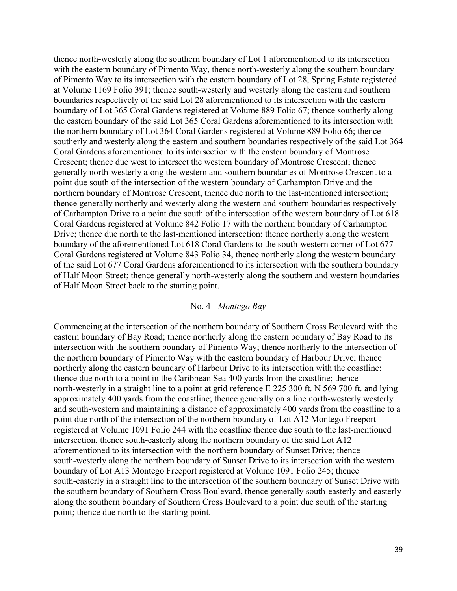thence north-westerly along the southern boundary of Lot 1 aforementioned to its intersection with the eastern boundary of Pimento Way, thence north-westerly along the southern boundary of Pimento Way to its intersection with the eastern boundary of Lot 28, Spring Estate registered at Volume 1169 Folio 391; thence south-westerly and westerly along the eastern and southern boundaries respectively of the said Lot 28 aforementioned to its intersection with the eastern boundary of Lot 365 Coral Gardens registered at Volume 889 Folio 67; thence southerly along the eastern boundary of the said Lot 365 Coral Gardens aforementioned to its intersection with the northern boundary of Lot 364 Coral Gardens registered at Volume 889 Folio 66; thence southerly and westerly along the eastern and southern boundaries respectively of the said Lot 364 Coral Gardens aforementioned to its intersection with the eastern boundary of Montrose Crescent; thence due west to intersect the western boundary of Montrose Crescent; thence generally north-westerly along the western and southern boundaries of Montrose Crescent to a point due south of the intersection of the western boundary of Carhampton Drive and the northern boundary of Montrose Crescent, thence due north to the last-mentioned intersection; thence generally northerly and westerly along the western and southern boundaries respectively of Carhampton Drive to a point due south of the intersection of the western boundary of Lot 618 Coral Gardens registered at Volume 842 Folio 17 with the northern boundary of Carhampton Drive; thence due north to the last-mentioned intersection; thence northerly along the western boundary of the aforementioned Lot 618 Coral Gardens to the south-western corner of Lot 677 Coral Gardens registered at Volume 843 Folio 34, thence northerly along the western boundary of the said Lot 677 Coral Gardens aforementioned to its intersection with the southern boundary of Half Moon Street; thence generally north-westerly along the southern and western boundaries of Half Moon Street back to the starting point.

#### No. 4 - *Montego Bay*

Commencing at the intersection of the northern boundary of Southern Cross Boulevard with the eastern boundary of Bay Road; thence northerly along the eastern boundary of Bay Road to its intersection with the southern boundary of Pimento Way; thence northerly to the intersection of the northern boundary of Pimento Way with the eastern boundary of Harbour Drive; thence northerly along the eastern boundary of Harbour Drive to its intersection with the coastline; thence due north to a point in the Caribbean Sea 400 yards from the coastline; thence north-westerly in a straight line to a point at grid reference E 225 300 ft. N 569 700 ft. and lying approximately 400 yards from the coastline; thence generally on a line north-westerly westerly and south-western and maintaining a distance of approximately 400 yards from the coastline to a point due north of the intersection of the northern boundary of Lot A12 Montego Freeport registered at Volume 1091 Folio 244 with the coastline thence due south to the last-mentioned intersection, thence south-easterly along the northern boundary of the said Lot A12 aforementioned to its intersection with the northern boundary of Sunset Drive; thence south-westerly along the northern boundary of Sunset Drive to its intersection with the western boundary of Lot A13 Montego Freeport registered at Volume 1091 Folio 245; thence south-easterly in a straight line to the intersection of the southern boundary of Sunset Drive with the southern boundary of Southern Cross Boulevard, thence generally south-easterly and easterly along the southern boundary of Southern Cross Boulevard to a point due south of the starting point; thence due north to the starting point.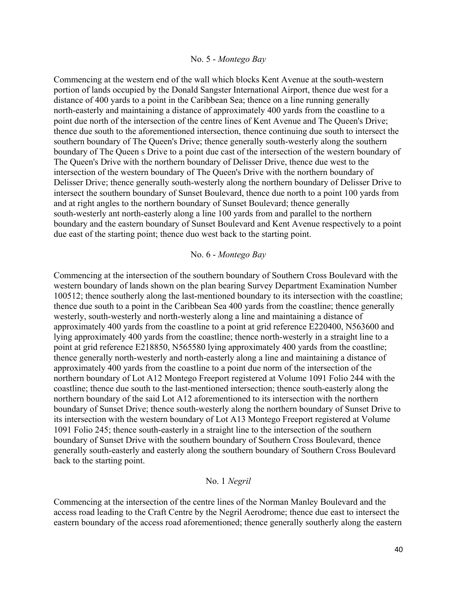#### No. 5 - *Montego Bay*

Commencing at the western end of the wall which blocks Kent Avenue at the south-western portion of lands occupied by the Donald Sangster International Airport, thence due west for a distance of 400 yards to a point in the Caribbean Sea; thence on a line running generally north-easterly and maintaining a distance of approximately 400 yards from the coastline to a point due north of the intersection of the centre lines of Kent Avenue and The Queen's Drive; thence due south to the aforementioned intersection, thence continuing due south to intersect the southern boundary of The Queen's Drive; thence generally south-westerly along the southern boundary of The Queen s Drive to a point due cast of the intersection of the western boundary of The Queen's Drive with the northern boundary of Delisser Drive, thence due west to the intersection of the western boundary of The Queen's Drive with the northern boundary of Delisser Drive; thence generally south-westerly along the northern boundary of Delisser Drive to intersect the southern boundary of Sunset Boulevard, thence due north to a point 100 yards from and at right angles to the northern boundary of Sunset Boulevard; thence generally south-westerly ant north-easterly along a line 100 yards from and parallel to the northern boundary and the eastern boundary of Sunset Boulevard and Kent Avenue respectively to a point due east of the starting point; thence duo west back to the starting point.

#### No. 6 - *Montego Bay*

Commencing at the intersection of the southern boundary of Southern Cross Boulevard with the western boundary of lands shown on the plan bearing Survey Department Examination Number 100512; thence southerly along the last-mentioned boundary to its intersection with the coastline; thence due south to a point in the Caribbean Sea 400 yards from the coastline; thence generally westerly, south-westerly and north-westerly along a line and maintaining a distance of approximately 400 yards from the coastline to a point at grid reference E220400, N563600 and lying approximately 400 yards from the coastline; thence north-westerly in a straight line to a point at grid reference E218850, N565580 lying approximately 400 yards from the coastline; thence generally north-westerly and north-easterly along a line and maintaining a distance of approximately 400 yards from the coastline to a point due norm of the intersection of the northern boundary of Lot A12 Montego Freeport registered at Volume 1091 Folio 244 with the coastline; thence due south to the last-mentioned intersection; thence south-easterly along the northern boundary of the said Lot A12 aforementioned to its intersection with the northern boundary of Sunset Drive; thence south-westerly along the northern boundary of Sunset Drive to its intersection with the western boundary of Lot A13 Montego Freeport registered at Volume 1091 Folio 245; thence south-easterly in a straight line to the intersection of the southern boundary of Sunset Drive with the southern boundary of Southern Cross Boulevard, thence generally south-easterly and easterly along the southern boundary of Southern Cross Boulevard back to the starting point.

#### No. 1 *Negril*

Commencing at the intersection of the centre lines of the Norman Manley Boulevard and the access road leading to the Craft Centre by the Negril Aerodrome; thence due east to intersect the eastern boundary of the access road aforementioned; thence generally southerly along the eastern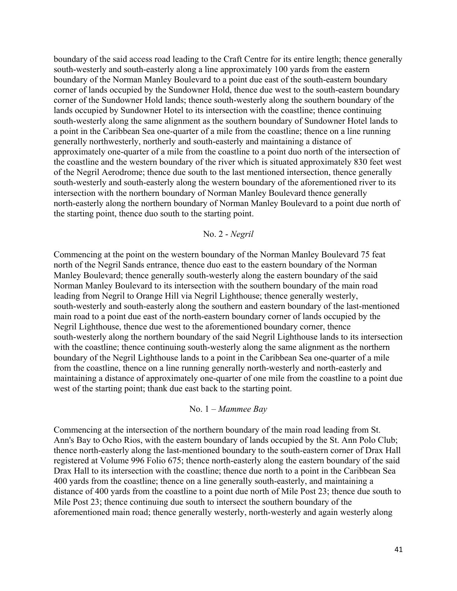boundary of the said access road leading to the Craft Centre for its entire length; thence generally south-westerly and south-easterly along a line approximately 100 yards from the eastern boundary of the Norman Manley Boulevard to a point due east of the south-eastern boundary corner of lands occupied by the Sundowner Hold, thence due west to the south-eastern boundary corner of the Sundowner Hold lands; thence south-westerly along the southern boundary of the lands occupied by Sundowner Hotel to its intersection with the coastline; thence continuing south-westerly along the same alignment as the southern boundary of Sundowner Hotel lands to a point in the Caribbean Sea one-quarter of a mile from the coastline; thence on a line running generally northwesterly, northerly and south-easterly and maintaining a distance of approximately one-quarter of a mile from the coastline to a point duo north of the intersection of the coastline and the western boundary of the river which is situated approximately 830 feet west of the Negril Aerodrome; thence due south to the last mentioned intersection, thence generally south-westerly and south-easterly along the western boundary of the aforementioned river to its intersection with the northern boundary of Norman Manley Boulevard thence generally north-easterly along the northern boundary of Norman Manley Boulevard to a point due north of the starting point, thence duo south to the starting point.

#### No. 2 - *Negril*

Commencing at the point on the western boundary of the Norman Manley Boulevard 75 feat north of the Negril Sands entrance, thence duo east to the eastern boundary of the Norman Manley Boulevard; thence generally south-westerly along the eastern boundary of the said Norman Manley Boulevard to its intersection with the southern boundary of the main road leading from Negril to Orange Hill via Negril Lighthouse; thence generally westerly, south-westerly and south-easterly along the southern and eastern boundary of the last-mentioned main road to a point due east of the north-eastern boundary corner of lands occupied by the Negril Lighthouse, thence due west to the aforementioned boundary corner, thence south-westerly along the northern boundary of the said Negril Lighthouse lands to its intersection with the coastline; thence continuing south-westerly along the same alignment as the northern boundary of the Negril Lighthouse lands to a point in the Caribbean Sea one-quarter of a mile from the coastline, thence on a line running generally north-westerly and north-easterly and maintaining a distance of approximately one-quarter of one mile from the coastline to a point due west of the starting point; thank due east back to the starting point.

#### No. 1 – *Mammee Bay*

Commencing at the intersection of the northern boundary of the main road leading from St. Ann's Bay to Ocho Rios, with the eastern boundary of lands occupied by the St. Ann Polo Club; thence north-easterly along the last-mentioned boundary to the south-eastern corner of Drax Hall registered at Volume 996 Folio 675; thence north-easterly along the eastern boundary of the said Drax Hall to its intersection with the coastline; thence due north to a point in the Caribbean Sea 400 yards from the coastline; thence on a line generally south-easterly, and maintaining a distance of 400 yards from the coastline to a point due north of Mile Post 23; thence due south to Mile Post 23; thence continuing due south to intersect the southern boundary of the aforementioned main road; thence generally westerly, north-westerly and again westerly along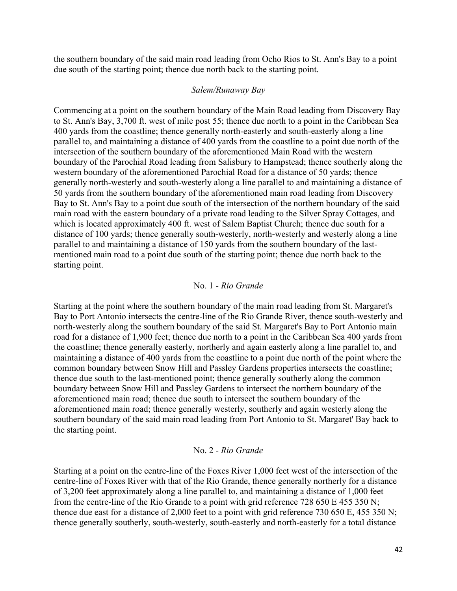the southern boundary of the said main road leading from Ocho Rios to St. Ann's Bay to a point due south of the starting point; thence due north back to the starting point.

#### *Salem/Runaway Bay*

Commencing at a point on the southern boundary of the Main Road leading from Discovery Bay to St. Ann's Bay, 3,700 ft. west of mile post 55; thence due north to a point in the Caribbean Sea 400 yards from the coastline; thence generally north-easterly and south-easterly along a line parallel to, and maintaining a distance of 400 yards from the coastline to a point due north of the intersection of the southern boundary of the aforementioned Main Road with the western boundary of the Parochial Road leading from Salisbury to Hampstead; thence southerly along the western boundary of the aforementioned Parochial Road for a distance of 50 yards; thence generally north-westerly and south-westerly along a line parallel to and maintaining a distance of 50 yards from the southern boundary of the aforementioned main road leading from Discovery Bay to St. Ann's Bay to a point due south of the intersection of the northern boundary of the said main road with the eastern boundary of a private road leading to the Silver Spray Cottages, and which is located approximately 400 ft. west of Salem Baptist Church; thence due south for a distance of 100 yards; thence generally south-westerly, north-westerly and westerly along a line parallel to and maintaining a distance of 150 yards from the southern boundary of the lastmentioned main road to a point due south of the starting point; thence due north back to the starting point.

#### No. 1 - *Rio Grande*

Starting at the point where the southern boundary of the main road leading from St. Margaret's Bay to Port Antonio intersects the centre-line of the Rio Grande River, thence south-westerly and north-westerly along the southern boundary of the said St. Margaret's Bay to Port Antonio main road for a distance of 1,900 feet; thence due north to a point in the Caribbean Sea 400 yards from the coastline; thence generally easterly, northerly and again easterly along a line parallel to, and maintaining a distance of 400 yards from the coastline to a point due north of the point where the common boundary between Snow Hill and Passley Gardens properties intersects the coastline; thence due south to the last-mentioned point; thence generally southerly along the common boundary between Snow Hill and Passley Gardens to intersect the northern boundary of the aforementioned main road; thence due south to intersect the southern boundary of the aforementioned main road; thence generally westerly, southerly and again westerly along the southern boundary of the said main road leading from Port Antonio to St. Margaret' Bay back to the starting point.

#### No. 2 - *Rio Grande*

Starting at a point on the centre-line of the Foxes River 1,000 feet west of the intersection of the centre-line of Foxes River with that of the Rio Grande, thence generally northerly for a distance of 3,200 feet approximately along a line parallel to, and maintaining a distance of 1,000 feet from the centre-line of the Rio Grande to a point with grid reference 728 650 E 455 350 N; thence due east for a distance of 2,000 feet to a point with grid reference 730 650 E, 455 350 N; thence generally southerly, south-westerly, south-easterly and north-easterly for a total distance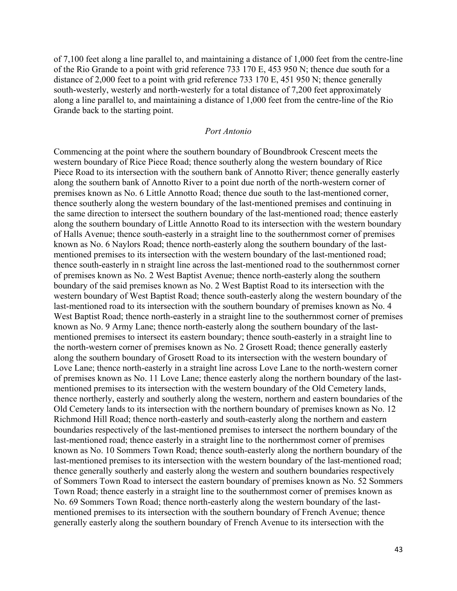of 7,100 feet along a line parallel to, and maintaining a distance of 1,000 feet from the centre-line of the Rio Grande to a point with grid reference 733 170 E, 453 950 N; thence due south for a distance of 2,000 feet to a point with grid reference 733 170 E, 451 950 N; thence generally south-westerly, westerly and north-westerly for a total distance of 7,200 feet approximately along a line parallel to, and maintaining a distance of 1,000 feet from the centre-line of the Rio Grande back to the starting point.

#### *Port Antonio*

Commencing at the point where the southern boundary of Boundbrook Crescent meets the western boundary of Rice Piece Road; thence southerly along the western boundary of Rice Piece Road to its intersection with the southern bank of Annotto River; thence generally easterly along the southern bank of Annotto River to a point due north of the north-western corner of premises known as No. 6 Little Annotto Road; thence due south to the last-mentioned corner, thence southerly along the western boundary of the last-mentioned premises and continuing in the same direction to intersect the southern boundary of the last-mentioned road; thence easterly along the southern boundary of Little Annotto Road to its intersection with the western boundary of Halls Avenue; thence south-easterly in a straight line to the southernmost corner of premises known as No. 6 Naylors Road; thence north-easterly along the southern boundary of the lastmentioned premises to its intersection with the western boundary of the last-mentioned road; thence south-easterly in n straight line across the last-mentioned road to the southernmost corner of premises known as No. 2 West Baptist Avenue; thence north-easterly along the southern boundary of the said premises known as No. 2 West Baptist Road to its intersection with the western boundary of West Baptist Road; thence south-easterly along the western boundary of the last-mentioned road to its intersection with the southern boundary of premises known as No. 4 West Baptist Road; thence north-easterly in a straight line to the southernmost corner of premises known as No. 9 Army Lane; thence north-easterly along the southern boundary of the lastmentioned premises to intersect its eastern boundary; thence south-easterly in a straight line to the north-western corner of premises known as No. 2 Grosett Road; thence generally easterly along the southern boundary of Grosett Road to its intersection with the western boundary of Love Lane; thence north-easterly in a straight line across Love Lane to the north-western corner of premises known as No. 11 Love Lane; thence easterly along the northern boundary of the lastmentioned premises to its intersection with the western boundary of the Old Cemetery lands, thence northerly, easterly and southerly along the western, northern and eastern boundaries of the Old Cemetery lands to its intersection with the northern boundary of premises known as No. 12 Richmond Hill Road; thence north-easterly and south-easterly along the northern and eastern boundaries respectively of the last-mentioned premises to intersect the northern boundary of the last-mentioned road; thence easterly in a straight line to the northernmost corner of premises known as No. 10 Sommers Town Road; thence south-easterly along the northern boundary of the last-mentioned premises to its intersection with the western boundary of the last-mentioned road; thence generally southerly and easterly along the western and southern boundaries respectively of Sommers Town Road to intersect the eastern boundary of premises known as No. 52 Sommers Town Road; thence easterly in a straight line to the southernmost corner of premises known as No. 69 Sommers Town Road; thence north-easterly along the western boundary of the lastmentioned premises to its intersection with the southern boundary of French Avenue; thence generally easterly along the southern boundary of French Avenue to its intersection with the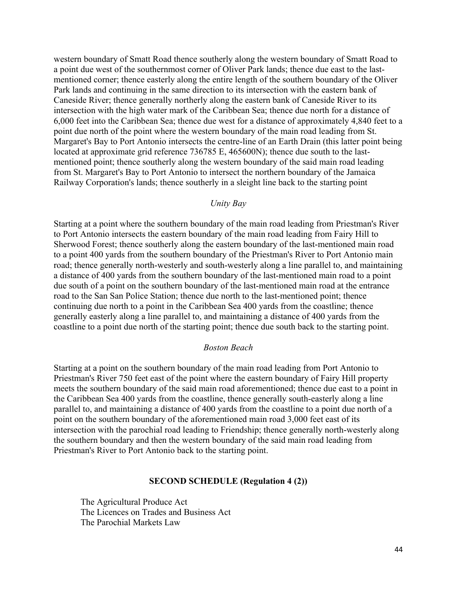western boundary of Smatt Road thence southerly along the western boundary of Smatt Road to a point due west of the southernmost corner of Oliver Park lands; thence due east to the lastmentioned corner; thence easterly along the entire length of the southern boundary of the Oliver Park lands and continuing in the same direction to its intersection with the eastern bank of Caneside River; thence generally northerly along the eastern bank of Caneside River to its intersection with the high water mark of the Caribbean Sea; thence due north for a distance of 6,000 feet into the Caribbean Sea; thence due west for a distance of approximately 4,840 feet to a point due north of the point where the western boundary of the main road leading from St. Margaret's Bay to Port Antonio intersects the centre-line of an Earth Drain (this latter point being located at approximate grid reference 736785 E, 465600N); thence due south to the lastmentioned point; thence southerly along the western boundary of the said main road leading from St. Margaret's Bay to Port Antonio to intersect the northern boundary of the Jamaica Railway Corporation's lands; thence southerly in a sleight line back to the starting point

#### *Unity Bay*

Starting at a point where the southern boundary of the main road leading from Priestman's River to Port Antonio intersects the eastern boundary of the main road leading from Fairy Hill to Sherwood Forest; thence southerly along the eastern boundary of the last-mentioned main road to a point 400 yards from the southern boundary of the Priestman's River to Port Antonio main road; thence generally north-westerly and south-westerly along a line parallel to, and maintaining a distance of 400 yards from the southern boundary of the last-mentioned main road to a point due south of a point on the southern boundary of the last-mentioned main road at the entrance road to the San San Police Station; thence due north to the last-mentioned point; thence continuing due north to a point in the Caribbean Sea 400 yards from the coastline; thence generally easterly along a line parallel to, and maintaining a distance of 400 yards from the coastline to a point due north of the starting point; thence due south back to the starting point.

#### *Boston Beach*

Starting at a point on the southern boundary of the main road leading from Port Antonio to Priestman's River 750 feet east of the point where the eastern boundary of Fairy Hill property meets the southern boundary of the said main road aforementioned; thence due east to a point in the Caribbean Sea 400 yards from the coastline, thence generally south-easterly along a line parallel to, and maintaining a distance of 400 yards from the coastline to a point due north of a point on the southern boundary of the aforementioned main road 3,000 feet east of its intersection with the parochial road leading to Friendship; thence generally north-westerly along the southern boundary and then the western boundary of the said main road leading from Priestman's River to Port Antonio back to the starting point.

### **SECOND SCHEDULE (Regulation 4 (2))**

The Agricultural Produce Act The Licences on Trades and Business Act The Parochial Markets Law